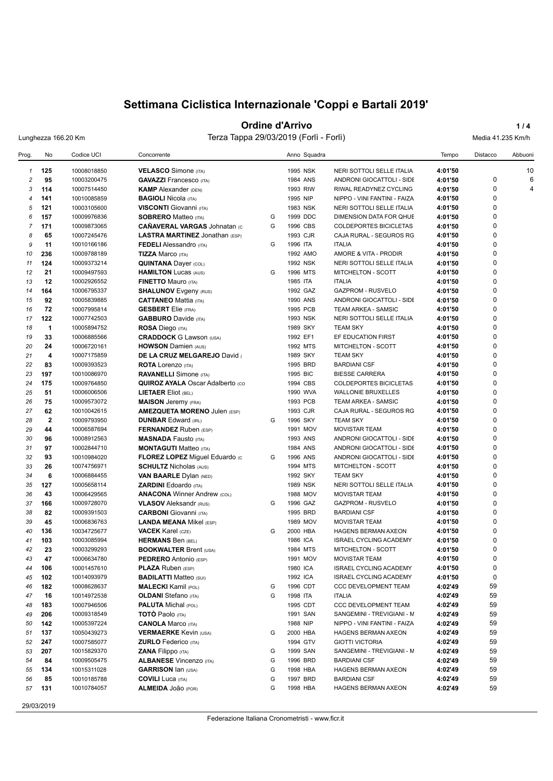## **Ordine d'Arrivo 1/4**

Lunghezza 166.20 Km Terza Tappa 29/03/2019 (Forlì - Forlì) Media 41.235 Km/h

| <b>VELASCO</b> Simone (ITA)<br>1995 NSK<br>10<br>125<br>10008018850<br>NERI SOTTOLI SELLE ITALIA<br>4:01'50<br>$\mathbf{1}$<br>$\pmb{0}$<br>95<br>2<br>10003200475<br><b>GAVAZZI</b> Francesco (ITA)<br>1984 ANS<br>ANDRONI GIOCATTOLI - SIDE<br>4:01'50<br>6<br>0<br>114<br><b>KAMP</b> Alexander (DEN)<br>4:01'50<br>4<br>3<br>10007514450<br>1993 RIW<br>RIWAL READYNEZ CYCLING<br>$\mathbf 0$<br>141<br>10010085859<br><b>BAGIOLI Nicola (ITA)</b><br>1995 NIP<br>NIPPO - VINI FANTINI - FAIZA<br>4:01'50<br>4<br>$\Omega$<br>4:01'50<br>5<br>121<br>10003105600<br><b>VISCONTI</b> Giovanni (ITA)<br>1983 NSK<br>NERI SOTTOLI SELLE ITALIA<br>$\pmb{0}$<br>157<br>1999 DDC<br>6<br>10009976836<br><b>SOBRERO Matteo (ITA)</b><br>G<br>DIMENSION DATA FOR QHUE<br>4:01'50<br>$\mathbf 0$<br>$\overline{7}$<br>171<br>G<br>1996 CBS<br>4:01'50<br>10009873065<br><b>CANAVERAL VARGAS Johnatan (c)</b><br>COLDEPORTES BICICLETAS<br>$\Omega$<br>8<br>65<br>10007245476<br><b>LASTRA MARTINEZ Jonathan (ESP)</b><br>1993 CJR<br>CAJA RURAL - SEGUROS RG<br>4:01'50<br>$\pmb{0}$<br>9<br>11<br>1996 ITA<br>10010166186<br><b>FEDELI</b> Alessandro (ITA)<br>G<br><b>ITALIA</b><br>4:01'50<br>$\mathbf 0$<br>236<br>10009788189<br><b>TIZZA Marco (ITA)</b><br>1992 AMO<br>AMORE & VITA - PRODIR<br>4:01'50<br>10<br>$\mathbf 0$<br>11<br>124<br>10009373214<br><b>QUINTANA Dayer (COL)</b><br>1992 NSK<br>NERI SOTTOLI SELLE ITALIA<br>4:01'50<br>$\pmb{0}$<br>1996 MTS<br>12<br>21<br>10009497593<br><b>HAMILTON Lucas (AUS)</b><br>G<br>MITCHELTON - SCOTT<br>4:01'50<br>$\mathbf 0$<br>13<br>12<br><b>ITALIA</b><br>10002926552<br><b>FINETTO Mauro (ITA)</b><br>1985 ITA<br>4:01'50<br>$\mathbf 0$<br>164<br>10006795337<br>1992 GAZ<br><b>GAZPROM - RUSVELO</b><br>4:01'50<br>14<br><b>SHALUNOV</b> Evgeny (RUS)<br>$\pmb{0}$<br>15<br>92<br>10005839885<br><b>CATTANEO Mattia (ITA)</b><br>1990 ANS<br>ANDRONI GIOCATTOLI - SIDE<br>4:01'50<br>$\mathbf 0$<br>72<br><b>GESBERT</b> Elie (FRA)<br>4:01'50<br>16<br>10007995814<br>1995 PCB<br>TEAM ARKEA - SAMSIC<br>$\mathbf 0$<br>17<br>122<br>10007742503<br><b>GABBURO</b> Davide (ITA)<br>1993 NSK<br>NERI SOTTOLI SELLE ITALIA<br>4:01'50<br>$\pmb{0}$<br>18<br>$\blacktriangleleft$<br>1989 SKY<br><b>TEAM SKY</b><br>4:01'50<br>10005894752<br><b>ROSA Diego (ITA)</b><br>$\mathbf 0$<br>33<br>19<br>10006885566<br><b>CRADDOCK</b> G Lawson (USA)<br>1992 EF1<br>EF EDUCATION FIRST<br>4:01'50<br>$\mathbf 0$<br>20<br>24<br>1992 MTS<br>4:01'50<br>10006720161<br><b>HOWSON Damien (AUS)</b><br>MITCHELTON - SCOTT<br>$\mathbf 0$<br>$\overline{\mathbf{4}}$<br>21<br>10007175859<br>DE LA CRUZ MELGAREJO David<br>1989 SKY<br><b>TEAM SKY</b><br>4:01'50<br>$\mathbf 0$<br>22<br>83<br>10009393523<br><b>ROTA</b> Lorenzo (ITA)<br>1995 BRD<br><b>BARDIANI CSF</b><br>4:01'50<br>$\mathbf 0$<br>1995 BIC<br>23<br>197<br>10010086970<br><b>RAVANELLI</b> Simone (ITA)<br><b>BIESSE CARRERA</b><br>4:01'50<br>$\pmb{0}$<br>175<br>24<br>10009764850<br><b>QUIROZ AYALA Oscar Adalberto (CO</b><br>1994 CBS<br>COLDEPORTES BICICLETAS<br>4:01'50<br>$\mathbf 0$<br>51<br>25<br>10006006506<br><b>LIETAER Eliot (BEL)</b><br>1990 WVA<br><b>WALLONIE BRUXELLES</b><br>4:01'50<br>$\mathbf 0$<br>26<br>75<br>10009573072<br><b>MAISON</b> Jeremy (FRA)<br>1993 PCB<br>TEAM ARKEA - SAMSIC<br>4:01'50<br>$\mathbf 0$<br>62<br>27<br><b>AMEZQUETA MORENO Julen (ESP)</b><br>1993 CJR<br>CAJA RURAL - SEGUROS RG<br>10010042615<br>4:01'50<br>$\mathbf 0$<br>28<br>$\mathbf{2}$<br>1996 SKY<br>10009793950<br><b>DUNBAR Edward (IRL)</b><br>G<br><b>TEAM SKY</b><br>4:01'50<br>$\mathbf 0$<br>29<br>44<br>4:01'50<br>10006587694<br><b>FERNANDEZ</b> Ruben (ESP)<br>1991 MOV<br><b>MOVISTAR TEAM</b><br>$\mathbf 0$<br>30<br>96<br>10008912563<br><b>MASNADA Fausto (ITA)</b><br>1993 ANS<br>ANDRONI GIOCATTOLI - SIDE<br>4:01'50<br>$\mathbf 0$<br>31<br>97<br>10002844710<br>1984 ANS<br>ANDRONI GIOCATTOLI - SIDE<br>4:01'50<br><b>MONTAGUTI Matteo (ITA)</b><br>$\mathbf 0$<br>32<br>93<br>1996 ANS<br>10010984020<br>FLOREZ LOPEZ Miguel Eduardo (c<br>G<br>ANDRONI GIOCATTOLI - SIDE<br>4:01'50<br>$\mathbf 0$<br>33<br>26<br>4:01'50<br>10074756971<br><b>SCHULTZ Nicholas (AUS)</b><br>1994 MTS<br>MITCHELTON - SCOTT<br>$\mathbf 0$<br>34<br>6<br>1992 SKY<br>10006884455<br><b>VAN BAARLE Dylan (NED)</b><br><b>TEAM SKY</b><br>4:01'50<br>$\pmb{0}$<br>35<br>127<br>10005658114<br><b>ZARDINI Edoardo (ITA)</b><br>1989 NSK<br>NERI SOTTOLI SELLE ITALIA<br>4:01'50<br>$\mathbf 0$<br>43<br>36<br>10006429565<br><b>ANACONA Winner Andrew (COL)</b><br>1988 MOV<br><b>MOVISTAR TEAM</b><br>4:01'50<br>$\mathbf 0$<br>37<br>166<br>10009728070<br><b>VLASOV</b> Aleksandr (RUS)<br>G<br>1996 GAZ<br>GAZPROM - RUSVELO<br>4:01'50<br>$\pmb{0}$<br>82<br><b>CARBONI</b> Giovanni (ITA)<br>1995 BRD<br>38<br>10009391503<br><b>BARDIANI CSF</b><br>4:01'50<br>$\mathbf 0$<br>39<br>45<br>10006836763<br><b>LANDA MEANA Mikel (ESP)</b><br>1989 MOV<br>4:01'50<br><b>MOVISTAR TEAM</b><br>$\mathbf 0$<br>136<br>10034725677<br><b>VACEK Karel (CZE)</b><br>G<br>2000 HBA<br>4:01'50<br>40<br><b>HAGENS BERMAN AXEON</b><br>$\pmb{0}$<br>41<br>103<br>1986 ICA<br>4:01'50<br>10003085994<br><b>HERMANS Ben (BEL)</b><br><b>ISRAEL CYCLING ACADEMY</b><br>$\mathbf 0$<br>23<br>42<br>10003299293<br><b>BOOKWALTER Brent (USA)</b><br>1984 MTS<br>MITCHELTON - SCOTT<br>4:01'50<br>$\Omega$<br>43<br>47<br>10006634780<br>1991 MOV<br><b>MOVISTAR TEAM</b><br>4:01'50<br><b>PEDRERO</b> Antonio (ESP)<br>0<br>106<br>4:01'50<br>10001457610<br><b>PLAZA Ruben (ESP)</b><br>1980 ICA<br><b>ISRAEL CYCLING ACADEMY</b><br>44<br>0<br>1992 ICA<br>45<br>102<br>10014093979<br><b>BADILATTI Matteo (SUI)</b><br><b>ISRAEL CYCLING ACADEMY</b><br>4:01'50<br>4:02'49<br>59<br>46<br>182<br>10008628637<br><b>MALECKI Kamil (POL)</b><br>1996 CDT<br>CCC DEVELOPMENT TEAM<br>G<br>59<br>47<br>16<br>10014972538<br><b>OLDANI</b> Stefano (ITA)<br>G<br>1998 ITA<br><b>ITALIA</b><br>4:02'49<br>59<br>48<br>183<br>10007946506<br><b>PALUTA Michal (POL)</b><br>1995 CDT<br>CCC DEVELOPMENT TEAM<br>4:02'49<br>206<br><b>TOTO Paolo</b> (ITA)<br>1991 SAN<br>4:02'49<br>59<br>49<br>10009318549<br>SANGEMINI - TREVIGIANI - M<br>59<br>1988 NIP<br>142<br><b>CANOLA Marco (ITA)</b><br>4:02'49<br>50<br>10005397224<br>NIPPO - VINI FANTINI - FAIZA<br>137<br>2000 HBA<br>4:02'49<br>59<br>51<br>10050439273<br><b>VERMAERKE Kevin (USA)</b><br>G<br>HAGENS BERMAN AXEON<br>59<br>247<br>1994 GTV<br><b>GIOTTI VICTORIA</b><br>4:02'49<br>52<br>10007585077<br><b>ZURLO</b> Federico (ITA)<br>59<br>207<br>10015829370<br>1999 SAN<br>SANGEMINI - TREVIGIANI - M<br>4:02'49<br>53<br><b>ZANA Filippo</b> (ITA)<br>G<br>59<br>54<br>84<br><b>ALBANESE Vincenzo (ITA)</b><br>G<br>1996 BRD<br><b>BARDIANI CSF</b><br>4:02'49<br>10009505475<br>59<br>134<br>G<br>1998 HBA<br>HAGENS BERMAN AXEON<br>4:02'49<br>55<br>10015311028<br><b>GARRISON Ian (USA)</b><br>85<br>59<br>56<br>10010185788<br><b>COVILI</b> Luca (ITA)<br>G<br>1997 BRD<br><b>BARDIANI CSF</b><br>4:02'49<br>131<br>ALMEIDA JOãO (POR)<br>59<br>57<br>10010784057<br>G<br>1998 HBA<br>HAGENS BERMAN AXEON<br>4:02'49 | Prog. | No | Codice UCI | Concorrente | Anno Squadra | Tempo | Distacco | Abbuoni |
|---------------------------------------------------------------------------------------------------------------------------------------------------------------------------------------------------------------------------------------------------------------------------------------------------------------------------------------------------------------------------------------------------------------------------------------------------------------------------------------------------------------------------------------------------------------------------------------------------------------------------------------------------------------------------------------------------------------------------------------------------------------------------------------------------------------------------------------------------------------------------------------------------------------------------------------------------------------------------------------------------------------------------------------------------------------------------------------------------------------------------------------------------------------------------------------------------------------------------------------------------------------------------------------------------------------------------------------------------------------------------------------------------------------------------------------------------------------------------------------------------------------------------------------------------------------------------------------------------------------------------------------------------------------------------------------------------------------------------------------------------------------------------------------------------------------------------------------------------------------------------------------------------------------------------------------------------------------------------------------------------------------------------------------------------------------------------------------------------------------------------------------------------------------------------------------------------------------------------------------------------------------------------------------------------------------------------------------------------------------------------------------------------------------------------------------------------------------------------------------------------------------------------------------------------------------------------------------------------------------------------------------------------------------------------------------------------------------------------------------------------------------------------------------------------------------------------------------------------------------------------------------------------------------------------------------------------------------------------------------------------------------------------------------------------------------------------------------------------------------------------------------------------------------------------------------------------------------------------------------------------------------------------------------------------------------------------------------------------------------------------------------------------------------------------------------------------------------------------------------------------------------------------------------------------------------------------------------------------------------------------------------------------------------------------------------------------------------------------------------------------------------------------------------------------------------------------------------------------------------------------------------------------------------------------------------------------------------------------------------------------------------------------------------------------------------------------------------------------------------------------------------------------------------------------------------------------------------------------------------------------------------------------------------------------------------------------------------------------------------------------------------------------------------------------------------------------------------------------------------------------------------------------------------------------------------------------------------------------------------------------------------------------------------------------------------------------------------------------------------------------------------------------------------------------------------------------------------------------------------------------------------------------------------------------------------------------------------------------------------------------------------------------------------------------------------------------------------------------------------------------------------------------------------------------------------------------------------------------------------------------------------------------------------------------------------------------------------------------------------------------------------------------------------------------------------------------------------------------------------------------------------------------------------------------------------------------------------------------------------------------------------------------------------------------------------------------------------------------------------------------------------------------------------------------------------------------------------------------------------------------------------------------------------------------------------------------------------------------------------------------------------------------------------------------------------------------------------------------------------------------------------------------------------------------------------------------------------------------------------------------------------------------------------------------------------------------------------------------------------------------------------------------------------------------------------------------------------------------------------------------------------------------------------------------------------------------------------------------------------------------------------------------------------------------------------------------------------------------------------------------------------------------------------------------------------------------------------------------------------------------------------------------------------------------------------------------------------------------------------------------------------------------------------------------------------------------------------------------------------------------------------------------------------------------------------------------------------------------------------------|-------|----|------------|-------------|--------------|-------|----------|---------|
|                                                                                                                                                                                                                                                                                                                                                                                                                                                                                                                                                                                                                                                                                                                                                                                                                                                                                                                                                                                                                                                                                                                                                                                                                                                                                                                                                                                                                                                                                                                                                                                                                                                                                                                                                                                                                                                                                                                                                                                                                                                                                                                                                                                                                                                                                                                                                                                                                                                                                                                                                                                                                                                                                                                                                                                                                                                                                                                                                                                                                                                                                                                                                                                                                                                                                                                                                                                                                                                                                                                                                                                                                                                                                                                                                                                                                                                                                                                                                                                                                                                                                                                                                                                                                                                                                                                                                                                                                                                                                                                                                                                                                                                                                                                                                                                                                                                                                                                                                                                                                                                                                                                                                                                                                                                                                                                                                                                                                                                                                                                                                                                                                                                                                                                                                                                                                                                                                                                                                                                                                                                                                                                                                                                                                                                                                                                                                                                                                                                                                                                                                                                                                                                                                                                                                                                                                                                                                                                                                                                                                                                                                                                                                                                                                                             |       |    |            |             |              |       |          |         |
|                                                                                                                                                                                                                                                                                                                                                                                                                                                                                                                                                                                                                                                                                                                                                                                                                                                                                                                                                                                                                                                                                                                                                                                                                                                                                                                                                                                                                                                                                                                                                                                                                                                                                                                                                                                                                                                                                                                                                                                                                                                                                                                                                                                                                                                                                                                                                                                                                                                                                                                                                                                                                                                                                                                                                                                                                                                                                                                                                                                                                                                                                                                                                                                                                                                                                                                                                                                                                                                                                                                                                                                                                                                                                                                                                                                                                                                                                                                                                                                                                                                                                                                                                                                                                                                                                                                                                                                                                                                                                                                                                                                                                                                                                                                                                                                                                                                                                                                                                                                                                                                                                                                                                                                                                                                                                                                                                                                                                                                                                                                                                                                                                                                                                                                                                                                                                                                                                                                                                                                                                                                                                                                                                                                                                                                                                                                                                                                                                                                                                                                                                                                                                                                                                                                                                                                                                                                                                                                                                                                                                                                                                                                                                                                                                                             |       |    |            |             |              |       |          |         |
|                                                                                                                                                                                                                                                                                                                                                                                                                                                                                                                                                                                                                                                                                                                                                                                                                                                                                                                                                                                                                                                                                                                                                                                                                                                                                                                                                                                                                                                                                                                                                                                                                                                                                                                                                                                                                                                                                                                                                                                                                                                                                                                                                                                                                                                                                                                                                                                                                                                                                                                                                                                                                                                                                                                                                                                                                                                                                                                                                                                                                                                                                                                                                                                                                                                                                                                                                                                                                                                                                                                                                                                                                                                                                                                                                                                                                                                                                                                                                                                                                                                                                                                                                                                                                                                                                                                                                                                                                                                                                                                                                                                                                                                                                                                                                                                                                                                                                                                                                                                                                                                                                                                                                                                                                                                                                                                                                                                                                                                                                                                                                                                                                                                                                                                                                                                                                                                                                                                                                                                                                                                                                                                                                                                                                                                                                                                                                                                                                                                                                                                                                                                                                                                                                                                                                                                                                                                                                                                                                                                                                                                                                                                                                                                                                                             |       |    |            |             |              |       |          |         |
|                                                                                                                                                                                                                                                                                                                                                                                                                                                                                                                                                                                                                                                                                                                                                                                                                                                                                                                                                                                                                                                                                                                                                                                                                                                                                                                                                                                                                                                                                                                                                                                                                                                                                                                                                                                                                                                                                                                                                                                                                                                                                                                                                                                                                                                                                                                                                                                                                                                                                                                                                                                                                                                                                                                                                                                                                                                                                                                                                                                                                                                                                                                                                                                                                                                                                                                                                                                                                                                                                                                                                                                                                                                                                                                                                                                                                                                                                                                                                                                                                                                                                                                                                                                                                                                                                                                                                                                                                                                                                                                                                                                                                                                                                                                                                                                                                                                                                                                                                                                                                                                                                                                                                                                                                                                                                                                                                                                                                                                                                                                                                                                                                                                                                                                                                                                                                                                                                                                                                                                                                                                                                                                                                                                                                                                                                                                                                                                                                                                                                                                                                                                                                                                                                                                                                                                                                                                                                                                                                                                                                                                                                                                                                                                                                                             |       |    |            |             |              |       |          |         |
|                                                                                                                                                                                                                                                                                                                                                                                                                                                                                                                                                                                                                                                                                                                                                                                                                                                                                                                                                                                                                                                                                                                                                                                                                                                                                                                                                                                                                                                                                                                                                                                                                                                                                                                                                                                                                                                                                                                                                                                                                                                                                                                                                                                                                                                                                                                                                                                                                                                                                                                                                                                                                                                                                                                                                                                                                                                                                                                                                                                                                                                                                                                                                                                                                                                                                                                                                                                                                                                                                                                                                                                                                                                                                                                                                                                                                                                                                                                                                                                                                                                                                                                                                                                                                                                                                                                                                                                                                                                                                                                                                                                                                                                                                                                                                                                                                                                                                                                                                                                                                                                                                                                                                                                                                                                                                                                                                                                                                                                                                                                                                                                                                                                                                                                                                                                                                                                                                                                                                                                                                                                                                                                                                                                                                                                                                                                                                                                                                                                                                                                                                                                                                                                                                                                                                                                                                                                                                                                                                                                                                                                                                                                                                                                                                                             |       |    |            |             |              |       |          |         |
|                                                                                                                                                                                                                                                                                                                                                                                                                                                                                                                                                                                                                                                                                                                                                                                                                                                                                                                                                                                                                                                                                                                                                                                                                                                                                                                                                                                                                                                                                                                                                                                                                                                                                                                                                                                                                                                                                                                                                                                                                                                                                                                                                                                                                                                                                                                                                                                                                                                                                                                                                                                                                                                                                                                                                                                                                                                                                                                                                                                                                                                                                                                                                                                                                                                                                                                                                                                                                                                                                                                                                                                                                                                                                                                                                                                                                                                                                                                                                                                                                                                                                                                                                                                                                                                                                                                                                                                                                                                                                                                                                                                                                                                                                                                                                                                                                                                                                                                                                                                                                                                                                                                                                                                                                                                                                                                                                                                                                                                                                                                                                                                                                                                                                                                                                                                                                                                                                                                                                                                                                                                                                                                                                                                                                                                                                                                                                                                                                                                                                                                                                                                                                                                                                                                                                                                                                                                                                                                                                                                                                                                                                                                                                                                                                                             |       |    |            |             |              |       |          |         |
|                                                                                                                                                                                                                                                                                                                                                                                                                                                                                                                                                                                                                                                                                                                                                                                                                                                                                                                                                                                                                                                                                                                                                                                                                                                                                                                                                                                                                                                                                                                                                                                                                                                                                                                                                                                                                                                                                                                                                                                                                                                                                                                                                                                                                                                                                                                                                                                                                                                                                                                                                                                                                                                                                                                                                                                                                                                                                                                                                                                                                                                                                                                                                                                                                                                                                                                                                                                                                                                                                                                                                                                                                                                                                                                                                                                                                                                                                                                                                                                                                                                                                                                                                                                                                                                                                                                                                                                                                                                                                                                                                                                                                                                                                                                                                                                                                                                                                                                                                                                                                                                                                                                                                                                                                                                                                                                                                                                                                                                                                                                                                                                                                                                                                                                                                                                                                                                                                                                                                                                                                                                                                                                                                                                                                                                                                                                                                                                                                                                                                                                                                                                                                                                                                                                                                                                                                                                                                                                                                                                                                                                                                                                                                                                                                                             |       |    |            |             |              |       |          |         |
|                                                                                                                                                                                                                                                                                                                                                                                                                                                                                                                                                                                                                                                                                                                                                                                                                                                                                                                                                                                                                                                                                                                                                                                                                                                                                                                                                                                                                                                                                                                                                                                                                                                                                                                                                                                                                                                                                                                                                                                                                                                                                                                                                                                                                                                                                                                                                                                                                                                                                                                                                                                                                                                                                                                                                                                                                                                                                                                                                                                                                                                                                                                                                                                                                                                                                                                                                                                                                                                                                                                                                                                                                                                                                                                                                                                                                                                                                                                                                                                                                                                                                                                                                                                                                                                                                                                                                                                                                                                                                                                                                                                                                                                                                                                                                                                                                                                                                                                                                                                                                                                                                                                                                                                                                                                                                                                                                                                                                                                                                                                                                                                                                                                                                                                                                                                                                                                                                                                                                                                                                                                                                                                                                                                                                                                                                                                                                                                                                                                                                                                                                                                                                                                                                                                                                                                                                                                                                                                                                                                                                                                                                                                                                                                                                                             |       |    |            |             |              |       |          |         |
|                                                                                                                                                                                                                                                                                                                                                                                                                                                                                                                                                                                                                                                                                                                                                                                                                                                                                                                                                                                                                                                                                                                                                                                                                                                                                                                                                                                                                                                                                                                                                                                                                                                                                                                                                                                                                                                                                                                                                                                                                                                                                                                                                                                                                                                                                                                                                                                                                                                                                                                                                                                                                                                                                                                                                                                                                                                                                                                                                                                                                                                                                                                                                                                                                                                                                                                                                                                                                                                                                                                                                                                                                                                                                                                                                                                                                                                                                                                                                                                                                                                                                                                                                                                                                                                                                                                                                                                                                                                                                                                                                                                                                                                                                                                                                                                                                                                                                                                                                                                                                                                                                                                                                                                                                                                                                                                                                                                                                                                                                                                                                                                                                                                                                                                                                                                                                                                                                                                                                                                                                                                                                                                                                                                                                                                                                                                                                                                                                                                                                                                                                                                                                                                                                                                                                                                                                                                                                                                                                                                                                                                                                                                                                                                                                                             |       |    |            |             |              |       |          |         |
|                                                                                                                                                                                                                                                                                                                                                                                                                                                                                                                                                                                                                                                                                                                                                                                                                                                                                                                                                                                                                                                                                                                                                                                                                                                                                                                                                                                                                                                                                                                                                                                                                                                                                                                                                                                                                                                                                                                                                                                                                                                                                                                                                                                                                                                                                                                                                                                                                                                                                                                                                                                                                                                                                                                                                                                                                                                                                                                                                                                                                                                                                                                                                                                                                                                                                                                                                                                                                                                                                                                                                                                                                                                                                                                                                                                                                                                                                                                                                                                                                                                                                                                                                                                                                                                                                                                                                                                                                                                                                                                                                                                                                                                                                                                                                                                                                                                                                                                                                                                                                                                                                                                                                                                                                                                                                                                                                                                                                                                                                                                                                                                                                                                                                                                                                                                                                                                                                                                                                                                                                                                                                                                                                                                                                                                                                                                                                                                                                                                                                                                                                                                                                                                                                                                                                                                                                                                                                                                                                                                                                                                                                                                                                                                                                                             |       |    |            |             |              |       |          |         |
|                                                                                                                                                                                                                                                                                                                                                                                                                                                                                                                                                                                                                                                                                                                                                                                                                                                                                                                                                                                                                                                                                                                                                                                                                                                                                                                                                                                                                                                                                                                                                                                                                                                                                                                                                                                                                                                                                                                                                                                                                                                                                                                                                                                                                                                                                                                                                                                                                                                                                                                                                                                                                                                                                                                                                                                                                                                                                                                                                                                                                                                                                                                                                                                                                                                                                                                                                                                                                                                                                                                                                                                                                                                                                                                                                                                                                                                                                                                                                                                                                                                                                                                                                                                                                                                                                                                                                                                                                                                                                                                                                                                                                                                                                                                                                                                                                                                                                                                                                                                                                                                                                                                                                                                                                                                                                                                                                                                                                                                                                                                                                                                                                                                                                                                                                                                                                                                                                                                                                                                                                                                                                                                                                                                                                                                                                                                                                                                                                                                                                                                                                                                                                                                                                                                                                                                                                                                                                                                                                                                                                                                                                                                                                                                                                                             |       |    |            |             |              |       |          |         |
|                                                                                                                                                                                                                                                                                                                                                                                                                                                                                                                                                                                                                                                                                                                                                                                                                                                                                                                                                                                                                                                                                                                                                                                                                                                                                                                                                                                                                                                                                                                                                                                                                                                                                                                                                                                                                                                                                                                                                                                                                                                                                                                                                                                                                                                                                                                                                                                                                                                                                                                                                                                                                                                                                                                                                                                                                                                                                                                                                                                                                                                                                                                                                                                                                                                                                                                                                                                                                                                                                                                                                                                                                                                                                                                                                                                                                                                                                                                                                                                                                                                                                                                                                                                                                                                                                                                                                                                                                                                                                                                                                                                                                                                                                                                                                                                                                                                                                                                                                                                                                                                                                                                                                                                                                                                                                                                                                                                                                                                                                                                                                                                                                                                                                                                                                                                                                                                                                                                                                                                                                                                                                                                                                                                                                                                                                                                                                                                                                                                                                                                                                                                                                                                                                                                                                                                                                                                                                                                                                                                                                                                                                                                                                                                                                                             |       |    |            |             |              |       |          |         |
|                                                                                                                                                                                                                                                                                                                                                                                                                                                                                                                                                                                                                                                                                                                                                                                                                                                                                                                                                                                                                                                                                                                                                                                                                                                                                                                                                                                                                                                                                                                                                                                                                                                                                                                                                                                                                                                                                                                                                                                                                                                                                                                                                                                                                                                                                                                                                                                                                                                                                                                                                                                                                                                                                                                                                                                                                                                                                                                                                                                                                                                                                                                                                                                                                                                                                                                                                                                                                                                                                                                                                                                                                                                                                                                                                                                                                                                                                                                                                                                                                                                                                                                                                                                                                                                                                                                                                                                                                                                                                                                                                                                                                                                                                                                                                                                                                                                                                                                                                                                                                                                                                                                                                                                                                                                                                                                                                                                                                                                                                                                                                                                                                                                                                                                                                                                                                                                                                                                                                                                                                                                                                                                                                                                                                                                                                                                                                                                                                                                                                                                                                                                                                                                                                                                                                                                                                                                                                                                                                                                                                                                                                                                                                                                                                                             |       |    |            |             |              |       |          |         |
|                                                                                                                                                                                                                                                                                                                                                                                                                                                                                                                                                                                                                                                                                                                                                                                                                                                                                                                                                                                                                                                                                                                                                                                                                                                                                                                                                                                                                                                                                                                                                                                                                                                                                                                                                                                                                                                                                                                                                                                                                                                                                                                                                                                                                                                                                                                                                                                                                                                                                                                                                                                                                                                                                                                                                                                                                                                                                                                                                                                                                                                                                                                                                                                                                                                                                                                                                                                                                                                                                                                                                                                                                                                                                                                                                                                                                                                                                                                                                                                                                                                                                                                                                                                                                                                                                                                                                                                                                                                                                                                                                                                                                                                                                                                                                                                                                                                                                                                                                                                                                                                                                                                                                                                                                                                                                                                                                                                                                                                                                                                                                                                                                                                                                                                                                                                                                                                                                                                                                                                                                                                                                                                                                                                                                                                                                                                                                                                                                                                                                                                                                                                                                                                                                                                                                                                                                                                                                                                                                                                                                                                                                                                                                                                                                                             |       |    |            |             |              |       |          |         |
|                                                                                                                                                                                                                                                                                                                                                                                                                                                                                                                                                                                                                                                                                                                                                                                                                                                                                                                                                                                                                                                                                                                                                                                                                                                                                                                                                                                                                                                                                                                                                                                                                                                                                                                                                                                                                                                                                                                                                                                                                                                                                                                                                                                                                                                                                                                                                                                                                                                                                                                                                                                                                                                                                                                                                                                                                                                                                                                                                                                                                                                                                                                                                                                                                                                                                                                                                                                                                                                                                                                                                                                                                                                                                                                                                                                                                                                                                                                                                                                                                                                                                                                                                                                                                                                                                                                                                                                                                                                                                                                                                                                                                                                                                                                                                                                                                                                                                                                                                                                                                                                                                                                                                                                                                                                                                                                                                                                                                                                                                                                                                                                                                                                                                                                                                                                                                                                                                                                                                                                                                                                                                                                                                                                                                                                                                                                                                                                                                                                                                                                                                                                                                                                                                                                                                                                                                                                                                                                                                                                                                                                                                                                                                                                                                                             |       |    |            |             |              |       |          |         |
|                                                                                                                                                                                                                                                                                                                                                                                                                                                                                                                                                                                                                                                                                                                                                                                                                                                                                                                                                                                                                                                                                                                                                                                                                                                                                                                                                                                                                                                                                                                                                                                                                                                                                                                                                                                                                                                                                                                                                                                                                                                                                                                                                                                                                                                                                                                                                                                                                                                                                                                                                                                                                                                                                                                                                                                                                                                                                                                                                                                                                                                                                                                                                                                                                                                                                                                                                                                                                                                                                                                                                                                                                                                                                                                                                                                                                                                                                                                                                                                                                                                                                                                                                                                                                                                                                                                                                                                                                                                                                                                                                                                                                                                                                                                                                                                                                                                                                                                                                                                                                                                                                                                                                                                                                                                                                                                                                                                                                                                                                                                                                                                                                                                                                                                                                                                                                                                                                                                                                                                                                                                                                                                                                                                                                                                                                                                                                                                                                                                                                                                                                                                                                                                                                                                                                                                                                                                                                                                                                                                                                                                                                                                                                                                                                                             |       |    |            |             |              |       |          |         |
|                                                                                                                                                                                                                                                                                                                                                                                                                                                                                                                                                                                                                                                                                                                                                                                                                                                                                                                                                                                                                                                                                                                                                                                                                                                                                                                                                                                                                                                                                                                                                                                                                                                                                                                                                                                                                                                                                                                                                                                                                                                                                                                                                                                                                                                                                                                                                                                                                                                                                                                                                                                                                                                                                                                                                                                                                                                                                                                                                                                                                                                                                                                                                                                                                                                                                                                                                                                                                                                                                                                                                                                                                                                                                                                                                                                                                                                                                                                                                                                                                                                                                                                                                                                                                                                                                                                                                                                                                                                                                                                                                                                                                                                                                                                                                                                                                                                                                                                                                                                                                                                                                                                                                                                                                                                                                                                                                                                                                                                                                                                                                                                                                                                                                                                                                                                                                                                                                                                                                                                                                                                                                                                                                                                                                                                                                                                                                                                                                                                                                                                                                                                                                                                                                                                                                                                                                                                                                                                                                                                                                                                                                                                                                                                                                                             |       |    |            |             |              |       |          |         |
|                                                                                                                                                                                                                                                                                                                                                                                                                                                                                                                                                                                                                                                                                                                                                                                                                                                                                                                                                                                                                                                                                                                                                                                                                                                                                                                                                                                                                                                                                                                                                                                                                                                                                                                                                                                                                                                                                                                                                                                                                                                                                                                                                                                                                                                                                                                                                                                                                                                                                                                                                                                                                                                                                                                                                                                                                                                                                                                                                                                                                                                                                                                                                                                                                                                                                                                                                                                                                                                                                                                                                                                                                                                                                                                                                                                                                                                                                                                                                                                                                                                                                                                                                                                                                                                                                                                                                                                                                                                                                                                                                                                                                                                                                                                                                                                                                                                                                                                                                                                                                                                                                                                                                                                                                                                                                                                                                                                                                                                                                                                                                                                                                                                                                                                                                                                                                                                                                                                                                                                                                                                                                                                                                                                                                                                                                                                                                                                                                                                                                                                                                                                                                                                                                                                                                                                                                                                                                                                                                                                                                                                                                                                                                                                                                                             |       |    |            |             |              |       |          |         |
|                                                                                                                                                                                                                                                                                                                                                                                                                                                                                                                                                                                                                                                                                                                                                                                                                                                                                                                                                                                                                                                                                                                                                                                                                                                                                                                                                                                                                                                                                                                                                                                                                                                                                                                                                                                                                                                                                                                                                                                                                                                                                                                                                                                                                                                                                                                                                                                                                                                                                                                                                                                                                                                                                                                                                                                                                                                                                                                                                                                                                                                                                                                                                                                                                                                                                                                                                                                                                                                                                                                                                                                                                                                                                                                                                                                                                                                                                                                                                                                                                                                                                                                                                                                                                                                                                                                                                                                                                                                                                                                                                                                                                                                                                                                                                                                                                                                                                                                                                                                                                                                                                                                                                                                                                                                                                                                                                                                                                                                                                                                                                                                                                                                                                                                                                                                                                                                                                                                                                                                                                                                                                                                                                                                                                                                                                                                                                                                                                                                                                                                                                                                                                                                                                                                                                                                                                                                                                                                                                                                                                                                                                                                                                                                                                                             |       |    |            |             |              |       |          |         |
|                                                                                                                                                                                                                                                                                                                                                                                                                                                                                                                                                                                                                                                                                                                                                                                                                                                                                                                                                                                                                                                                                                                                                                                                                                                                                                                                                                                                                                                                                                                                                                                                                                                                                                                                                                                                                                                                                                                                                                                                                                                                                                                                                                                                                                                                                                                                                                                                                                                                                                                                                                                                                                                                                                                                                                                                                                                                                                                                                                                                                                                                                                                                                                                                                                                                                                                                                                                                                                                                                                                                                                                                                                                                                                                                                                                                                                                                                                                                                                                                                                                                                                                                                                                                                                                                                                                                                                                                                                                                                                                                                                                                                                                                                                                                                                                                                                                                                                                                                                                                                                                                                                                                                                                                                                                                                                                                                                                                                                                                                                                                                                                                                                                                                                                                                                                                                                                                                                                                                                                                                                                                                                                                                                                                                                                                                                                                                                                                                                                                                                                                                                                                                                                                                                                                                                                                                                                                                                                                                                                                                                                                                                                                                                                                                                             |       |    |            |             |              |       |          |         |
|                                                                                                                                                                                                                                                                                                                                                                                                                                                                                                                                                                                                                                                                                                                                                                                                                                                                                                                                                                                                                                                                                                                                                                                                                                                                                                                                                                                                                                                                                                                                                                                                                                                                                                                                                                                                                                                                                                                                                                                                                                                                                                                                                                                                                                                                                                                                                                                                                                                                                                                                                                                                                                                                                                                                                                                                                                                                                                                                                                                                                                                                                                                                                                                                                                                                                                                                                                                                                                                                                                                                                                                                                                                                                                                                                                                                                                                                                                                                                                                                                                                                                                                                                                                                                                                                                                                                                                                                                                                                                                                                                                                                                                                                                                                                                                                                                                                                                                                                                                                                                                                                                                                                                                                                                                                                                                                                                                                                                                                                                                                                                                                                                                                                                                                                                                                                                                                                                                                                                                                                                                                                                                                                                                                                                                                                                                                                                                                                                                                                                                                                                                                                                                                                                                                                                                                                                                                                                                                                                                                                                                                                                                                                                                                                                                             |       |    |            |             |              |       |          |         |
|                                                                                                                                                                                                                                                                                                                                                                                                                                                                                                                                                                                                                                                                                                                                                                                                                                                                                                                                                                                                                                                                                                                                                                                                                                                                                                                                                                                                                                                                                                                                                                                                                                                                                                                                                                                                                                                                                                                                                                                                                                                                                                                                                                                                                                                                                                                                                                                                                                                                                                                                                                                                                                                                                                                                                                                                                                                                                                                                                                                                                                                                                                                                                                                                                                                                                                                                                                                                                                                                                                                                                                                                                                                                                                                                                                                                                                                                                                                                                                                                                                                                                                                                                                                                                                                                                                                                                                                                                                                                                                                                                                                                                                                                                                                                                                                                                                                                                                                                                                                                                                                                                                                                                                                                                                                                                                                                                                                                                                                                                                                                                                                                                                                                                                                                                                                                                                                                                                                                                                                                                                                                                                                                                                                                                                                                                                                                                                                                                                                                                                                                                                                                                                                                                                                                                                                                                                                                                                                                                                                                                                                                                                                                                                                                                                             |       |    |            |             |              |       |          |         |
|                                                                                                                                                                                                                                                                                                                                                                                                                                                                                                                                                                                                                                                                                                                                                                                                                                                                                                                                                                                                                                                                                                                                                                                                                                                                                                                                                                                                                                                                                                                                                                                                                                                                                                                                                                                                                                                                                                                                                                                                                                                                                                                                                                                                                                                                                                                                                                                                                                                                                                                                                                                                                                                                                                                                                                                                                                                                                                                                                                                                                                                                                                                                                                                                                                                                                                                                                                                                                                                                                                                                                                                                                                                                                                                                                                                                                                                                                                                                                                                                                                                                                                                                                                                                                                                                                                                                                                                                                                                                                                                                                                                                                                                                                                                                                                                                                                                                                                                                                                                                                                                                                                                                                                                                                                                                                                                                                                                                                                                                                                                                                                                                                                                                                                                                                                                                                                                                                                                                                                                                                                                                                                                                                                                                                                                                                                                                                                                                                                                                                                                                                                                                                                                                                                                                                                                                                                                                                                                                                                                                                                                                                                                                                                                                                                             |       |    |            |             |              |       |          |         |
|                                                                                                                                                                                                                                                                                                                                                                                                                                                                                                                                                                                                                                                                                                                                                                                                                                                                                                                                                                                                                                                                                                                                                                                                                                                                                                                                                                                                                                                                                                                                                                                                                                                                                                                                                                                                                                                                                                                                                                                                                                                                                                                                                                                                                                                                                                                                                                                                                                                                                                                                                                                                                                                                                                                                                                                                                                                                                                                                                                                                                                                                                                                                                                                                                                                                                                                                                                                                                                                                                                                                                                                                                                                                                                                                                                                                                                                                                                                                                                                                                                                                                                                                                                                                                                                                                                                                                                                                                                                                                                                                                                                                                                                                                                                                                                                                                                                                                                                                                                                                                                                                                                                                                                                                                                                                                                                                                                                                                                                                                                                                                                                                                                                                                                                                                                                                                                                                                                                                                                                                                                                                                                                                                                                                                                                                                                                                                                                                                                                                                                                                                                                                                                                                                                                                                                                                                                                                                                                                                                                                                                                                                                                                                                                                                                             |       |    |            |             |              |       |          |         |
|                                                                                                                                                                                                                                                                                                                                                                                                                                                                                                                                                                                                                                                                                                                                                                                                                                                                                                                                                                                                                                                                                                                                                                                                                                                                                                                                                                                                                                                                                                                                                                                                                                                                                                                                                                                                                                                                                                                                                                                                                                                                                                                                                                                                                                                                                                                                                                                                                                                                                                                                                                                                                                                                                                                                                                                                                                                                                                                                                                                                                                                                                                                                                                                                                                                                                                                                                                                                                                                                                                                                                                                                                                                                                                                                                                                                                                                                                                                                                                                                                                                                                                                                                                                                                                                                                                                                                                                                                                                                                                                                                                                                                                                                                                                                                                                                                                                                                                                                                                                                                                                                                                                                                                                                                                                                                                                                                                                                                                                                                                                                                                                                                                                                                                                                                                                                                                                                                                                                                                                                                                                                                                                                                                                                                                                                                                                                                                                                                                                                                                                                                                                                                                                                                                                                                                                                                                                                                                                                                                                                                                                                                                                                                                                                                                             |       |    |            |             |              |       |          |         |
|                                                                                                                                                                                                                                                                                                                                                                                                                                                                                                                                                                                                                                                                                                                                                                                                                                                                                                                                                                                                                                                                                                                                                                                                                                                                                                                                                                                                                                                                                                                                                                                                                                                                                                                                                                                                                                                                                                                                                                                                                                                                                                                                                                                                                                                                                                                                                                                                                                                                                                                                                                                                                                                                                                                                                                                                                                                                                                                                                                                                                                                                                                                                                                                                                                                                                                                                                                                                                                                                                                                                                                                                                                                                                                                                                                                                                                                                                                                                                                                                                                                                                                                                                                                                                                                                                                                                                                                                                                                                                                                                                                                                                                                                                                                                                                                                                                                                                                                                                                                                                                                                                                                                                                                                                                                                                                                                                                                                                                                                                                                                                                                                                                                                                                                                                                                                                                                                                                                                                                                                                                                                                                                                                                                                                                                                                                                                                                                                                                                                                                                                                                                                                                                                                                                                                                                                                                                                                                                                                                                                                                                                                                                                                                                                                                             |       |    |            |             |              |       |          |         |
|                                                                                                                                                                                                                                                                                                                                                                                                                                                                                                                                                                                                                                                                                                                                                                                                                                                                                                                                                                                                                                                                                                                                                                                                                                                                                                                                                                                                                                                                                                                                                                                                                                                                                                                                                                                                                                                                                                                                                                                                                                                                                                                                                                                                                                                                                                                                                                                                                                                                                                                                                                                                                                                                                                                                                                                                                                                                                                                                                                                                                                                                                                                                                                                                                                                                                                                                                                                                                                                                                                                                                                                                                                                                                                                                                                                                                                                                                                                                                                                                                                                                                                                                                                                                                                                                                                                                                                                                                                                                                                                                                                                                                                                                                                                                                                                                                                                                                                                                                                                                                                                                                                                                                                                                                                                                                                                                                                                                                                                                                                                                                                                                                                                                                                                                                                                                                                                                                                                                                                                                                                                                                                                                                                                                                                                                                                                                                                                                                                                                                                                                                                                                                                                                                                                                                                                                                                                                                                                                                                                                                                                                                                                                                                                                                                             |       |    |            |             |              |       |          |         |
|                                                                                                                                                                                                                                                                                                                                                                                                                                                                                                                                                                                                                                                                                                                                                                                                                                                                                                                                                                                                                                                                                                                                                                                                                                                                                                                                                                                                                                                                                                                                                                                                                                                                                                                                                                                                                                                                                                                                                                                                                                                                                                                                                                                                                                                                                                                                                                                                                                                                                                                                                                                                                                                                                                                                                                                                                                                                                                                                                                                                                                                                                                                                                                                                                                                                                                                                                                                                                                                                                                                                                                                                                                                                                                                                                                                                                                                                                                                                                                                                                                                                                                                                                                                                                                                                                                                                                                                                                                                                                                                                                                                                                                                                                                                                                                                                                                                                                                                                                                                                                                                                                                                                                                                                                                                                                                                                                                                                                                                                                                                                                                                                                                                                                                                                                                                                                                                                                                                                                                                                                                                                                                                                                                                                                                                                                                                                                                                                                                                                                                                                                                                                                                                                                                                                                                                                                                                                                                                                                                                                                                                                                                                                                                                                                                             |       |    |            |             |              |       |          |         |
|                                                                                                                                                                                                                                                                                                                                                                                                                                                                                                                                                                                                                                                                                                                                                                                                                                                                                                                                                                                                                                                                                                                                                                                                                                                                                                                                                                                                                                                                                                                                                                                                                                                                                                                                                                                                                                                                                                                                                                                                                                                                                                                                                                                                                                                                                                                                                                                                                                                                                                                                                                                                                                                                                                                                                                                                                                                                                                                                                                                                                                                                                                                                                                                                                                                                                                                                                                                                                                                                                                                                                                                                                                                                                                                                                                                                                                                                                                                                                                                                                                                                                                                                                                                                                                                                                                                                                                                                                                                                                                                                                                                                                                                                                                                                                                                                                                                                                                                                                                                                                                                                                                                                                                                                                                                                                                                                                                                                                                                                                                                                                                                                                                                                                                                                                                                                                                                                                                                                                                                                                                                                                                                                                                                                                                                                                                                                                                                                                                                                                                                                                                                                                                                                                                                                                                                                                                                                                                                                                                                                                                                                                                                                                                                                                                             |       |    |            |             |              |       |          |         |
|                                                                                                                                                                                                                                                                                                                                                                                                                                                                                                                                                                                                                                                                                                                                                                                                                                                                                                                                                                                                                                                                                                                                                                                                                                                                                                                                                                                                                                                                                                                                                                                                                                                                                                                                                                                                                                                                                                                                                                                                                                                                                                                                                                                                                                                                                                                                                                                                                                                                                                                                                                                                                                                                                                                                                                                                                                                                                                                                                                                                                                                                                                                                                                                                                                                                                                                                                                                                                                                                                                                                                                                                                                                                                                                                                                                                                                                                                                                                                                                                                                                                                                                                                                                                                                                                                                                                                                                                                                                                                                                                                                                                                                                                                                                                                                                                                                                                                                                                                                                                                                                                                                                                                                                                                                                                                                                                                                                                                                                                                                                                                                                                                                                                                                                                                                                                                                                                                                                                                                                                                                                                                                                                                                                                                                                                                                                                                                                                                                                                                                                                                                                                                                                                                                                                                                                                                                                                                                                                                                                                                                                                                                                                                                                                                                             |       |    |            |             |              |       |          |         |
|                                                                                                                                                                                                                                                                                                                                                                                                                                                                                                                                                                                                                                                                                                                                                                                                                                                                                                                                                                                                                                                                                                                                                                                                                                                                                                                                                                                                                                                                                                                                                                                                                                                                                                                                                                                                                                                                                                                                                                                                                                                                                                                                                                                                                                                                                                                                                                                                                                                                                                                                                                                                                                                                                                                                                                                                                                                                                                                                                                                                                                                                                                                                                                                                                                                                                                                                                                                                                                                                                                                                                                                                                                                                                                                                                                                                                                                                                                                                                                                                                                                                                                                                                                                                                                                                                                                                                                                                                                                                                                                                                                                                                                                                                                                                                                                                                                                                                                                                                                                                                                                                                                                                                                                                                                                                                                                                                                                                                                                                                                                                                                                                                                                                                                                                                                                                                                                                                                                                                                                                                                                                                                                                                                                                                                                                                                                                                                                                                                                                                                                                                                                                                                                                                                                                                                                                                                                                                                                                                                                                                                                                                                                                                                                                                                             |       |    |            |             |              |       |          |         |
|                                                                                                                                                                                                                                                                                                                                                                                                                                                                                                                                                                                                                                                                                                                                                                                                                                                                                                                                                                                                                                                                                                                                                                                                                                                                                                                                                                                                                                                                                                                                                                                                                                                                                                                                                                                                                                                                                                                                                                                                                                                                                                                                                                                                                                                                                                                                                                                                                                                                                                                                                                                                                                                                                                                                                                                                                                                                                                                                                                                                                                                                                                                                                                                                                                                                                                                                                                                                                                                                                                                                                                                                                                                                                                                                                                                                                                                                                                                                                                                                                                                                                                                                                                                                                                                                                                                                                                                                                                                                                                                                                                                                                                                                                                                                                                                                                                                                                                                                                                                                                                                                                                                                                                                                                                                                                                                                                                                                                                                                                                                                                                                                                                                                                                                                                                                                                                                                                                                                                                                                                                                                                                                                                                                                                                                                                                                                                                                                                                                                                                                                                                                                                                                                                                                                                                                                                                                                                                                                                                                                                                                                                                                                                                                                                                             |       |    |            |             |              |       |          |         |
|                                                                                                                                                                                                                                                                                                                                                                                                                                                                                                                                                                                                                                                                                                                                                                                                                                                                                                                                                                                                                                                                                                                                                                                                                                                                                                                                                                                                                                                                                                                                                                                                                                                                                                                                                                                                                                                                                                                                                                                                                                                                                                                                                                                                                                                                                                                                                                                                                                                                                                                                                                                                                                                                                                                                                                                                                                                                                                                                                                                                                                                                                                                                                                                                                                                                                                                                                                                                                                                                                                                                                                                                                                                                                                                                                                                                                                                                                                                                                                                                                                                                                                                                                                                                                                                                                                                                                                                                                                                                                                                                                                                                                                                                                                                                                                                                                                                                                                                                                                                                                                                                                                                                                                                                                                                                                                                                                                                                                                                                                                                                                                                                                                                                                                                                                                                                                                                                                                                                                                                                                                                                                                                                                                                                                                                                                                                                                                                                                                                                                                                                                                                                                                                                                                                                                                                                                                                                                                                                                                                                                                                                                                                                                                                                                                             |       |    |            |             |              |       |          |         |
|                                                                                                                                                                                                                                                                                                                                                                                                                                                                                                                                                                                                                                                                                                                                                                                                                                                                                                                                                                                                                                                                                                                                                                                                                                                                                                                                                                                                                                                                                                                                                                                                                                                                                                                                                                                                                                                                                                                                                                                                                                                                                                                                                                                                                                                                                                                                                                                                                                                                                                                                                                                                                                                                                                                                                                                                                                                                                                                                                                                                                                                                                                                                                                                                                                                                                                                                                                                                                                                                                                                                                                                                                                                                                                                                                                                                                                                                                                                                                                                                                                                                                                                                                                                                                                                                                                                                                                                                                                                                                                                                                                                                                                                                                                                                                                                                                                                                                                                                                                                                                                                                                                                                                                                                                                                                                                                                                                                                                                                                                                                                                                                                                                                                                                                                                                                                                                                                                                                                                                                                                                                                                                                                                                                                                                                                                                                                                                                                                                                                                                                                                                                                                                                                                                                                                                                                                                                                                                                                                                                                                                                                                                                                                                                                                                             |       |    |            |             |              |       |          |         |
|                                                                                                                                                                                                                                                                                                                                                                                                                                                                                                                                                                                                                                                                                                                                                                                                                                                                                                                                                                                                                                                                                                                                                                                                                                                                                                                                                                                                                                                                                                                                                                                                                                                                                                                                                                                                                                                                                                                                                                                                                                                                                                                                                                                                                                                                                                                                                                                                                                                                                                                                                                                                                                                                                                                                                                                                                                                                                                                                                                                                                                                                                                                                                                                                                                                                                                                                                                                                                                                                                                                                                                                                                                                                                                                                                                                                                                                                                                                                                                                                                                                                                                                                                                                                                                                                                                                                                                                                                                                                                                                                                                                                                                                                                                                                                                                                                                                                                                                                                                                                                                                                                                                                                                                                                                                                                                                                                                                                                                                                                                                                                                                                                                                                                                                                                                                                                                                                                                                                                                                                                                                                                                                                                                                                                                                                                                                                                                                                                                                                                                                                                                                                                                                                                                                                                                                                                                                                                                                                                                                                                                                                                                                                                                                                                                             |       |    |            |             |              |       |          |         |
|                                                                                                                                                                                                                                                                                                                                                                                                                                                                                                                                                                                                                                                                                                                                                                                                                                                                                                                                                                                                                                                                                                                                                                                                                                                                                                                                                                                                                                                                                                                                                                                                                                                                                                                                                                                                                                                                                                                                                                                                                                                                                                                                                                                                                                                                                                                                                                                                                                                                                                                                                                                                                                                                                                                                                                                                                                                                                                                                                                                                                                                                                                                                                                                                                                                                                                                                                                                                                                                                                                                                                                                                                                                                                                                                                                                                                                                                                                                                                                                                                                                                                                                                                                                                                                                                                                                                                                                                                                                                                                                                                                                                                                                                                                                                                                                                                                                                                                                                                                                                                                                                                                                                                                                                                                                                                                                                                                                                                                                                                                                                                                                                                                                                                                                                                                                                                                                                                                                                                                                                                                                                                                                                                                                                                                                                                                                                                                                                                                                                                                                                                                                                                                                                                                                                                                                                                                                                                                                                                                                                                                                                                                                                                                                                                                             |       |    |            |             |              |       |          |         |
|                                                                                                                                                                                                                                                                                                                                                                                                                                                                                                                                                                                                                                                                                                                                                                                                                                                                                                                                                                                                                                                                                                                                                                                                                                                                                                                                                                                                                                                                                                                                                                                                                                                                                                                                                                                                                                                                                                                                                                                                                                                                                                                                                                                                                                                                                                                                                                                                                                                                                                                                                                                                                                                                                                                                                                                                                                                                                                                                                                                                                                                                                                                                                                                                                                                                                                                                                                                                                                                                                                                                                                                                                                                                                                                                                                                                                                                                                                                                                                                                                                                                                                                                                                                                                                                                                                                                                                                                                                                                                                                                                                                                                                                                                                                                                                                                                                                                                                                                                                                                                                                                                                                                                                                                                                                                                                                                                                                                                                                                                                                                                                                                                                                                                                                                                                                                                                                                                                                                                                                                                                                                                                                                                                                                                                                                                                                                                                                                                                                                                                                                                                                                                                                                                                                                                                                                                                                                                                                                                                                                                                                                                                                                                                                                                                             |       |    |            |             |              |       |          |         |
|                                                                                                                                                                                                                                                                                                                                                                                                                                                                                                                                                                                                                                                                                                                                                                                                                                                                                                                                                                                                                                                                                                                                                                                                                                                                                                                                                                                                                                                                                                                                                                                                                                                                                                                                                                                                                                                                                                                                                                                                                                                                                                                                                                                                                                                                                                                                                                                                                                                                                                                                                                                                                                                                                                                                                                                                                                                                                                                                                                                                                                                                                                                                                                                                                                                                                                                                                                                                                                                                                                                                                                                                                                                                                                                                                                                                                                                                                                                                                                                                                                                                                                                                                                                                                                                                                                                                                                                                                                                                                                                                                                                                                                                                                                                                                                                                                                                                                                                                                                                                                                                                                                                                                                                                                                                                                                                                                                                                                                                                                                                                                                                                                                                                                                                                                                                                                                                                                                                                                                                                                                                                                                                                                                                                                                                                                                                                                                                                                                                                                                                                                                                                                                                                                                                                                                                                                                                                                                                                                                                                                                                                                                                                                                                                                                             |       |    |            |             |              |       |          |         |
|                                                                                                                                                                                                                                                                                                                                                                                                                                                                                                                                                                                                                                                                                                                                                                                                                                                                                                                                                                                                                                                                                                                                                                                                                                                                                                                                                                                                                                                                                                                                                                                                                                                                                                                                                                                                                                                                                                                                                                                                                                                                                                                                                                                                                                                                                                                                                                                                                                                                                                                                                                                                                                                                                                                                                                                                                                                                                                                                                                                                                                                                                                                                                                                                                                                                                                                                                                                                                                                                                                                                                                                                                                                                                                                                                                                                                                                                                                                                                                                                                                                                                                                                                                                                                                                                                                                                                                                                                                                                                                                                                                                                                                                                                                                                                                                                                                                                                                                                                                                                                                                                                                                                                                                                                                                                                                                                                                                                                                                                                                                                                                                                                                                                                                                                                                                                                                                                                                                                                                                                                                                                                                                                                                                                                                                                                                                                                                                                                                                                                                                                                                                                                                                                                                                                                                                                                                                                                                                                                                                                                                                                                                                                                                                                                                             |       |    |            |             |              |       |          |         |
|                                                                                                                                                                                                                                                                                                                                                                                                                                                                                                                                                                                                                                                                                                                                                                                                                                                                                                                                                                                                                                                                                                                                                                                                                                                                                                                                                                                                                                                                                                                                                                                                                                                                                                                                                                                                                                                                                                                                                                                                                                                                                                                                                                                                                                                                                                                                                                                                                                                                                                                                                                                                                                                                                                                                                                                                                                                                                                                                                                                                                                                                                                                                                                                                                                                                                                                                                                                                                                                                                                                                                                                                                                                                                                                                                                                                                                                                                                                                                                                                                                                                                                                                                                                                                                                                                                                                                                                                                                                                                                                                                                                                                                                                                                                                                                                                                                                                                                                                                                                                                                                                                                                                                                                                                                                                                                                                                                                                                                                                                                                                                                                                                                                                                                                                                                                                                                                                                                                                                                                                                                                                                                                                                                                                                                                                                                                                                                                                                                                                                                                                                                                                                                                                                                                                                                                                                                                                                                                                                                                                                                                                                                                                                                                                                                             |       |    |            |             |              |       |          |         |
|                                                                                                                                                                                                                                                                                                                                                                                                                                                                                                                                                                                                                                                                                                                                                                                                                                                                                                                                                                                                                                                                                                                                                                                                                                                                                                                                                                                                                                                                                                                                                                                                                                                                                                                                                                                                                                                                                                                                                                                                                                                                                                                                                                                                                                                                                                                                                                                                                                                                                                                                                                                                                                                                                                                                                                                                                                                                                                                                                                                                                                                                                                                                                                                                                                                                                                                                                                                                                                                                                                                                                                                                                                                                                                                                                                                                                                                                                                                                                                                                                                                                                                                                                                                                                                                                                                                                                                                                                                                                                                                                                                                                                                                                                                                                                                                                                                                                                                                                                                                                                                                                                                                                                                                                                                                                                                                                                                                                                                                                                                                                                                                                                                                                                                                                                                                                                                                                                                                                                                                                                                                                                                                                                                                                                                                                                                                                                                                                                                                                                                                                                                                                                                                                                                                                                                                                                                                                                                                                                                                                                                                                                                                                                                                                                                             |       |    |            |             |              |       |          |         |
|                                                                                                                                                                                                                                                                                                                                                                                                                                                                                                                                                                                                                                                                                                                                                                                                                                                                                                                                                                                                                                                                                                                                                                                                                                                                                                                                                                                                                                                                                                                                                                                                                                                                                                                                                                                                                                                                                                                                                                                                                                                                                                                                                                                                                                                                                                                                                                                                                                                                                                                                                                                                                                                                                                                                                                                                                                                                                                                                                                                                                                                                                                                                                                                                                                                                                                                                                                                                                                                                                                                                                                                                                                                                                                                                                                                                                                                                                                                                                                                                                                                                                                                                                                                                                                                                                                                                                                                                                                                                                                                                                                                                                                                                                                                                                                                                                                                                                                                                                                                                                                                                                                                                                                                                                                                                                                                                                                                                                                                                                                                                                                                                                                                                                                                                                                                                                                                                                                                                                                                                                                                                                                                                                                                                                                                                                                                                                                                                                                                                                                                                                                                                                                                                                                                                                                                                                                                                                                                                                                                                                                                                                                                                                                                                                                             |       |    |            |             |              |       |          |         |
|                                                                                                                                                                                                                                                                                                                                                                                                                                                                                                                                                                                                                                                                                                                                                                                                                                                                                                                                                                                                                                                                                                                                                                                                                                                                                                                                                                                                                                                                                                                                                                                                                                                                                                                                                                                                                                                                                                                                                                                                                                                                                                                                                                                                                                                                                                                                                                                                                                                                                                                                                                                                                                                                                                                                                                                                                                                                                                                                                                                                                                                                                                                                                                                                                                                                                                                                                                                                                                                                                                                                                                                                                                                                                                                                                                                                                                                                                                                                                                                                                                                                                                                                                                                                                                                                                                                                                                                                                                                                                                                                                                                                                                                                                                                                                                                                                                                                                                                                                                                                                                                                                                                                                                                                                                                                                                                                                                                                                                                                                                                                                                                                                                                                                                                                                                                                                                                                                                                                                                                                                                                                                                                                                                                                                                                                                                                                                                                                                                                                                                                                                                                                                                                                                                                                                                                                                                                                                                                                                                                                                                                                                                                                                                                                                                             |       |    |            |             |              |       |          |         |
|                                                                                                                                                                                                                                                                                                                                                                                                                                                                                                                                                                                                                                                                                                                                                                                                                                                                                                                                                                                                                                                                                                                                                                                                                                                                                                                                                                                                                                                                                                                                                                                                                                                                                                                                                                                                                                                                                                                                                                                                                                                                                                                                                                                                                                                                                                                                                                                                                                                                                                                                                                                                                                                                                                                                                                                                                                                                                                                                                                                                                                                                                                                                                                                                                                                                                                                                                                                                                                                                                                                                                                                                                                                                                                                                                                                                                                                                                                                                                                                                                                                                                                                                                                                                                                                                                                                                                                                                                                                                                                                                                                                                                                                                                                                                                                                                                                                                                                                                                                                                                                                                                                                                                                                                                                                                                                                                                                                                                                                                                                                                                                                                                                                                                                                                                                                                                                                                                                                                                                                                                                                                                                                                                                                                                                                                                                                                                                                                                                                                                                                                                                                                                                                                                                                                                                                                                                                                                                                                                                                                                                                                                                                                                                                                                                             |       |    |            |             |              |       |          |         |
|                                                                                                                                                                                                                                                                                                                                                                                                                                                                                                                                                                                                                                                                                                                                                                                                                                                                                                                                                                                                                                                                                                                                                                                                                                                                                                                                                                                                                                                                                                                                                                                                                                                                                                                                                                                                                                                                                                                                                                                                                                                                                                                                                                                                                                                                                                                                                                                                                                                                                                                                                                                                                                                                                                                                                                                                                                                                                                                                                                                                                                                                                                                                                                                                                                                                                                                                                                                                                                                                                                                                                                                                                                                                                                                                                                                                                                                                                                                                                                                                                                                                                                                                                                                                                                                                                                                                                                                                                                                                                                                                                                                                                                                                                                                                                                                                                                                                                                                                                                                                                                                                                                                                                                                                                                                                                                                                                                                                                                                                                                                                                                                                                                                                                                                                                                                                                                                                                                                                                                                                                                                                                                                                                                                                                                                                                                                                                                                                                                                                                                                                                                                                                                                                                                                                                                                                                                                                                                                                                                                                                                                                                                                                                                                                                                             |       |    |            |             |              |       |          |         |
|                                                                                                                                                                                                                                                                                                                                                                                                                                                                                                                                                                                                                                                                                                                                                                                                                                                                                                                                                                                                                                                                                                                                                                                                                                                                                                                                                                                                                                                                                                                                                                                                                                                                                                                                                                                                                                                                                                                                                                                                                                                                                                                                                                                                                                                                                                                                                                                                                                                                                                                                                                                                                                                                                                                                                                                                                                                                                                                                                                                                                                                                                                                                                                                                                                                                                                                                                                                                                                                                                                                                                                                                                                                                                                                                                                                                                                                                                                                                                                                                                                                                                                                                                                                                                                                                                                                                                                                                                                                                                                                                                                                                                                                                                                                                                                                                                                                                                                                                                                                                                                                                                                                                                                                                                                                                                                                                                                                                                                                                                                                                                                                                                                                                                                                                                                                                                                                                                                                                                                                                                                                                                                                                                                                                                                                                                                                                                                                                                                                                                                                                                                                                                                                                                                                                                                                                                                                                                                                                                                                                                                                                                                                                                                                                                                             |       |    |            |             |              |       |          |         |
|                                                                                                                                                                                                                                                                                                                                                                                                                                                                                                                                                                                                                                                                                                                                                                                                                                                                                                                                                                                                                                                                                                                                                                                                                                                                                                                                                                                                                                                                                                                                                                                                                                                                                                                                                                                                                                                                                                                                                                                                                                                                                                                                                                                                                                                                                                                                                                                                                                                                                                                                                                                                                                                                                                                                                                                                                                                                                                                                                                                                                                                                                                                                                                                                                                                                                                                                                                                                                                                                                                                                                                                                                                                                                                                                                                                                                                                                                                                                                                                                                                                                                                                                                                                                                                                                                                                                                                                                                                                                                                                                                                                                                                                                                                                                                                                                                                                                                                                                                                                                                                                                                                                                                                                                                                                                                                                                                                                                                                                                                                                                                                                                                                                                                                                                                                                                                                                                                                                                                                                                                                                                                                                                                                                                                                                                                                                                                                                                                                                                                                                                                                                                                                                                                                                                                                                                                                                                                                                                                                                                                                                                                                                                                                                                                                             |       |    |            |             |              |       |          |         |
|                                                                                                                                                                                                                                                                                                                                                                                                                                                                                                                                                                                                                                                                                                                                                                                                                                                                                                                                                                                                                                                                                                                                                                                                                                                                                                                                                                                                                                                                                                                                                                                                                                                                                                                                                                                                                                                                                                                                                                                                                                                                                                                                                                                                                                                                                                                                                                                                                                                                                                                                                                                                                                                                                                                                                                                                                                                                                                                                                                                                                                                                                                                                                                                                                                                                                                                                                                                                                                                                                                                                                                                                                                                                                                                                                                                                                                                                                                                                                                                                                                                                                                                                                                                                                                                                                                                                                                                                                                                                                                                                                                                                                                                                                                                                                                                                                                                                                                                                                                                                                                                                                                                                                                                                                                                                                                                                                                                                                                                                                                                                                                                                                                                                                                                                                                                                                                                                                                                                                                                                                                                                                                                                                                                                                                                                                                                                                                                                                                                                                                                                                                                                                                                                                                                                                                                                                                                                                                                                                                                                                                                                                                                                                                                                                                             |       |    |            |             |              |       |          |         |
|                                                                                                                                                                                                                                                                                                                                                                                                                                                                                                                                                                                                                                                                                                                                                                                                                                                                                                                                                                                                                                                                                                                                                                                                                                                                                                                                                                                                                                                                                                                                                                                                                                                                                                                                                                                                                                                                                                                                                                                                                                                                                                                                                                                                                                                                                                                                                                                                                                                                                                                                                                                                                                                                                                                                                                                                                                                                                                                                                                                                                                                                                                                                                                                                                                                                                                                                                                                                                                                                                                                                                                                                                                                                                                                                                                                                                                                                                                                                                                                                                                                                                                                                                                                                                                                                                                                                                                                                                                                                                                                                                                                                                                                                                                                                                                                                                                                                                                                                                                                                                                                                                                                                                                                                                                                                                                                                                                                                                                                                                                                                                                                                                                                                                                                                                                                                                                                                                                                                                                                                                                                                                                                                                                                                                                                                                                                                                                                                                                                                                                                                                                                                                                                                                                                                                                                                                                                                                                                                                                                                                                                                                                                                                                                                                                             |       |    |            |             |              |       |          |         |
|                                                                                                                                                                                                                                                                                                                                                                                                                                                                                                                                                                                                                                                                                                                                                                                                                                                                                                                                                                                                                                                                                                                                                                                                                                                                                                                                                                                                                                                                                                                                                                                                                                                                                                                                                                                                                                                                                                                                                                                                                                                                                                                                                                                                                                                                                                                                                                                                                                                                                                                                                                                                                                                                                                                                                                                                                                                                                                                                                                                                                                                                                                                                                                                                                                                                                                                                                                                                                                                                                                                                                                                                                                                                                                                                                                                                                                                                                                                                                                                                                                                                                                                                                                                                                                                                                                                                                                                                                                                                                                                                                                                                                                                                                                                                                                                                                                                                                                                                                                                                                                                                                                                                                                                                                                                                                                                                                                                                                                                                                                                                                                                                                                                                                                                                                                                                                                                                                                                                                                                                                                                                                                                                                                                                                                                                                                                                                                                                                                                                                                                                                                                                                                                                                                                                                                                                                                                                                                                                                                                                                                                                                                                                                                                                                                             |       |    |            |             |              |       |          |         |
|                                                                                                                                                                                                                                                                                                                                                                                                                                                                                                                                                                                                                                                                                                                                                                                                                                                                                                                                                                                                                                                                                                                                                                                                                                                                                                                                                                                                                                                                                                                                                                                                                                                                                                                                                                                                                                                                                                                                                                                                                                                                                                                                                                                                                                                                                                                                                                                                                                                                                                                                                                                                                                                                                                                                                                                                                                                                                                                                                                                                                                                                                                                                                                                                                                                                                                                                                                                                                                                                                                                                                                                                                                                                                                                                                                                                                                                                                                                                                                                                                                                                                                                                                                                                                                                                                                                                                                                                                                                                                                                                                                                                                                                                                                                                                                                                                                                                                                                                                                                                                                                                                                                                                                                                                                                                                                                                                                                                                                                                                                                                                                                                                                                                                                                                                                                                                                                                                                                                                                                                                                                                                                                                                                                                                                                                                                                                                                                                                                                                                                                                                                                                                                                                                                                                                                                                                                                                                                                                                                                                                                                                                                                                                                                                                                             |       |    |            |             |              |       |          |         |
|                                                                                                                                                                                                                                                                                                                                                                                                                                                                                                                                                                                                                                                                                                                                                                                                                                                                                                                                                                                                                                                                                                                                                                                                                                                                                                                                                                                                                                                                                                                                                                                                                                                                                                                                                                                                                                                                                                                                                                                                                                                                                                                                                                                                                                                                                                                                                                                                                                                                                                                                                                                                                                                                                                                                                                                                                                                                                                                                                                                                                                                                                                                                                                                                                                                                                                                                                                                                                                                                                                                                                                                                                                                                                                                                                                                                                                                                                                                                                                                                                                                                                                                                                                                                                                                                                                                                                                                                                                                                                                                                                                                                                                                                                                                                                                                                                                                                                                                                                                                                                                                                                                                                                                                                                                                                                                                                                                                                                                                                                                                                                                                                                                                                                                                                                                                                                                                                                                                                                                                                                                                                                                                                                                                                                                                                                                                                                                                                                                                                                                                                                                                                                                                                                                                                                                                                                                                                                                                                                                                                                                                                                                                                                                                                                                             |       |    |            |             |              |       |          |         |
|                                                                                                                                                                                                                                                                                                                                                                                                                                                                                                                                                                                                                                                                                                                                                                                                                                                                                                                                                                                                                                                                                                                                                                                                                                                                                                                                                                                                                                                                                                                                                                                                                                                                                                                                                                                                                                                                                                                                                                                                                                                                                                                                                                                                                                                                                                                                                                                                                                                                                                                                                                                                                                                                                                                                                                                                                                                                                                                                                                                                                                                                                                                                                                                                                                                                                                                                                                                                                                                                                                                                                                                                                                                                                                                                                                                                                                                                                                                                                                                                                                                                                                                                                                                                                                                                                                                                                                                                                                                                                                                                                                                                                                                                                                                                                                                                                                                                                                                                                                                                                                                                                                                                                                                                                                                                                                                                                                                                                                                                                                                                                                                                                                                                                                                                                                                                                                                                                                                                                                                                                                                                                                                                                                                                                                                                                                                                                                                                                                                                                                                                                                                                                                                                                                                                                                                                                                                                                                                                                                                                                                                                                                                                                                                                                                             |       |    |            |             |              |       |          |         |
|                                                                                                                                                                                                                                                                                                                                                                                                                                                                                                                                                                                                                                                                                                                                                                                                                                                                                                                                                                                                                                                                                                                                                                                                                                                                                                                                                                                                                                                                                                                                                                                                                                                                                                                                                                                                                                                                                                                                                                                                                                                                                                                                                                                                                                                                                                                                                                                                                                                                                                                                                                                                                                                                                                                                                                                                                                                                                                                                                                                                                                                                                                                                                                                                                                                                                                                                                                                                                                                                                                                                                                                                                                                                                                                                                                                                                                                                                                                                                                                                                                                                                                                                                                                                                                                                                                                                                                                                                                                                                                                                                                                                                                                                                                                                                                                                                                                                                                                                                                                                                                                                                                                                                                                                                                                                                                                                                                                                                                                                                                                                                                                                                                                                                                                                                                                                                                                                                                                                                                                                                                                                                                                                                                                                                                                                                                                                                                                                                                                                                                                                                                                                                                                                                                                                                                                                                                                                                                                                                                                                                                                                                                                                                                                                                                             |       |    |            |             |              |       |          |         |
|                                                                                                                                                                                                                                                                                                                                                                                                                                                                                                                                                                                                                                                                                                                                                                                                                                                                                                                                                                                                                                                                                                                                                                                                                                                                                                                                                                                                                                                                                                                                                                                                                                                                                                                                                                                                                                                                                                                                                                                                                                                                                                                                                                                                                                                                                                                                                                                                                                                                                                                                                                                                                                                                                                                                                                                                                                                                                                                                                                                                                                                                                                                                                                                                                                                                                                                                                                                                                                                                                                                                                                                                                                                                                                                                                                                                                                                                                                                                                                                                                                                                                                                                                                                                                                                                                                                                                                                                                                                                                                                                                                                                                                                                                                                                                                                                                                                                                                                                                                                                                                                                                                                                                                                                                                                                                                                                                                                                                                                                                                                                                                                                                                                                                                                                                                                                                                                                                                                                                                                                                                                                                                                                                                                                                                                                                                                                                                                                                                                                                                                                                                                                                                                                                                                                                                                                                                                                                                                                                                                                                                                                                                                                                                                                                                             |       |    |            |             |              |       |          |         |
|                                                                                                                                                                                                                                                                                                                                                                                                                                                                                                                                                                                                                                                                                                                                                                                                                                                                                                                                                                                                                                                                                                                                                                                                                                                                                                                                                                                                                                                                                                                                                                                                                                                                                                                                                                                                                                                                                                                                                                                                                                                                                                                                                                                                                                                                                                                                                                                                                                                                                                                                                                                                                                                                                                                                                                                                                                                                                                                                                                                                                                                                                                                                                                                                                                                                                                                                                                                                                                                                                                                                                                                                                                                                                                                                                                                                                                                                                                                                                                                                                                                                                                                                                                                                                                                                                                                                                                                                                                                                                                                                                                                                                                                                                                                                                                                                                                                                                                                                                                                                                                                                                                                                                                                                                                                                                                                                                                                                                                                                                                                                                                                                                                                                                                                                                                                                                                                                                                                                                                                                                                                                                                                                                                                                                                                                                                                                                                                                                                                                                                                                                                                                                                                                                                                                                                                                                                                                                                                                                                                                                                                                                                                                                                                                                                             |       |    |            |             |              |       |          |         |
|                                                                                                                                                                                                                                                                                                                                                                                                                                                                                                                                                                                                                                                                                                                                                                                                                                                                                                                                                                                                                                                                                                                                                                                                                                                                                                                                                                                                                                                                                                                                                                                                                                                                                                                                                                                                                                                                                                                                                                                                                                                                                                                                                                                                                                                                                                                                                                                                                                                                                                                                                                                                                                                                                                                                                                                                                                                                                                                                                                                                                                                                                                                                                                                                                                                                                                                                                                                                                                                                                                                                                                                                                                                                                                                                                                                                                                                                                                                                                                                                                                                                                                                                                                                                                                                                                                                                                                                                                                                                                                                                                                                                                                                                                                                                                                                                                                                                                                                                                                                                                                                                                                                                                                                                                                                                                                                                                                                                                                                                                                                                                                                                                                                                                                                                                                                                                                                                                                                                                                                                                                                                                                                                                                                                                                                                                                                                                                                                                                                                                                                                                                                                                                                                                                                                                                                                                                                                                                                                                                                                                                                                                                                                                                                                                                             |       |    |            |             |              |       |          |         |
|                                                                                                                                                                                                                                                                                                                                                                                                                                                                                                                                                                                                                                                                                                                                                                                                                                                                                                                                                                                                                                                                                                                                                                                                                                                                                                                                                                                                                                                                                                                                                                                                                                                                                                                                                                                                                                                                                                                                                                                                                                                                                                                                                                                                                                                                                                                                                                                                                                                                                                                                                                                                                                                                                                                                                                                                                                                                                                                                                                                                                                                                                                                                                                                                                                                                                                                                                                                                                                                                                                                                                                                                                                                                                                                                                                                                                                                                                                                                                                                                                                                                                                                                                                                                                                                                                                                                                                                                                                                                                                                                                                                                                                                                                                                                                                                                                                                                                                                                                                                                                                                                                                                                                                                                                                                                                                                                                                                                                                                                                                                                                                                                                                                                                                                                                                                                                                                                                                                                                                                                                                                                                                                                                                                                                                                                                                                                                                                                                                                                                                                                                                                                                                                                                                                                                                                                                                                                                                                                                                                                                                                                                                                                                                                                                                             |       |    |            |             |              |       |          |         |
|                                                                                                                                                                                                                                                                                                                                                                                                                                                                                                                                                                                                                                                                                                                                                                                                                                                                                                                                                                                                                                                                                                                                                                                                                                                                                                                                                                                                                                                                                                                                                                                                                                                                                                                                                                                                                                                                                                                                                                                                                                                                                                                                                                                                                                                                                                                                                                                                                                                                                                                                                                                                                                                                                                                                                                                                                                                                                                                                                                                                                                                                                                                                                                                                                                                                                                                                                                                                                                                                                                                                                                                                                                                                                                                                                                                                                                                                                                                                                                                                                                                                                                                                                                                                                                                                                                                                                                                                                                                                                                                                                                                                                                                                                                                                                                                                                                                                                                                                                                                                                                                                                                                                                                                                                                                                                                                                                                                                                                                                                                                                                                                                                                                                                                                                                                                                                                                                                                                                                                                                                                                                                                                                                                                                                                                                                                                                                                                                                                                                                                                                                                                                                                                                                                                                                                                                                                                                                                                                                                                                                                                                                                                                                                                                                                             |       |    |            |             |              |       |          |         |

29/03/2019

Federazione Italiana Cronometristi - www.ficr.it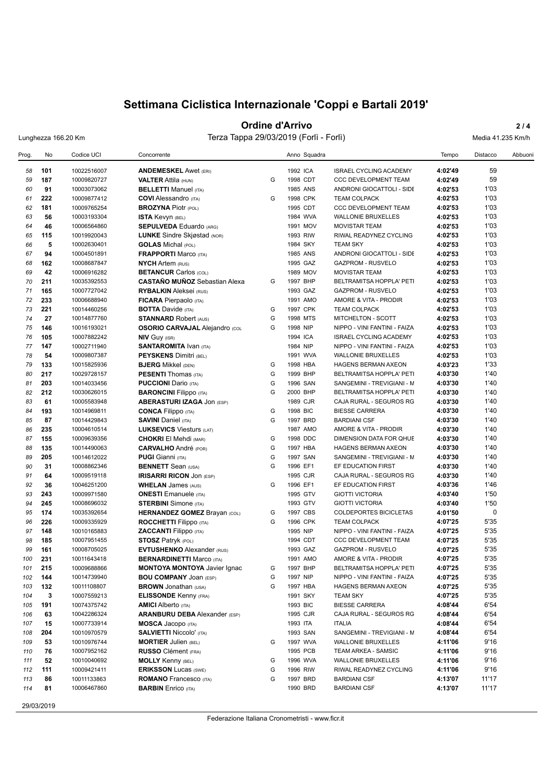## **Ordine d'Arrivo** 2/4

Lunghezza 166.20 Km Terza Tappa 29/03/2019 (Forlì - Forlì) Media 41.235 Km/h

| Prog.      | No         | Codice UCI                 | Concorrente                                                          |        | Anno Squadra         |                                                          | Tempo              | Distacco     | Abbuoni |
|------------|------------|----------------------------|----------------------------------------------------------------------|--------|----------------------|----------------------------------------------------------|--------------------|--------------|---------|
| 58         | 101        | 10022516007                | <b>ANDEMESKEL Awet (ERI)</b>                                         |        | 1992 ICA             | <b>ISRAEL CYCLING ACADEMY</b>                            | 4:02'49            | 59           |         |
| 59         | 187        | 10009820727                | <b>VALTER Attila (HUN)</b>                                           | G      | 1998 CDT             | <b>CCC DEVELOPMENT TEAM</b>                              | 4:02'49            | 59           |         |
| 60         | 91         | 10003073062                | <b>BELLETTI Manuel (ITA)</b>                                         |        | 1985 ANS             | ANDRONI GIOCATTOLI - SIDE                                | 4:02'53            | 1'03         |         |
| 61         | 222        | 10009877412                | <b>COVI</b> Alessandro (ITA)                                         | G      | 1998 CPK             | <b>TEAM COLPACK</b>                                      | 4:02'53            | 1'03         |         |
| 62         | 181        | 10009765254                | <b>BROZYNA Piotr (POL)</b>                                           |        | 1995 CDT             | <b>CCC DEVELOPMENT TEAM</b>                              | 4:02'53            | 1'03         |         |
| 63         | 56         | 10003193304                | <b>ISTA Kevyn (BEL)</b>                                              |        | 1984 WVA             | <b>WALLONIE BRUXELLES</b>                                | 4:02'53            | 1'03         |         |
| 64         | 46         | 10006564860                | <b>SEPULVEDA Eduardo (ARG)</b>                                       |        | 1991 MOV             | <b>MOVISTAR TEAM</b>                                     | 4:02'53            | 1'03         |         |
| 65         | 115        | 10019920043                | LUNKE Sindre Skjøstad (NOR)                                          |        | 1993 RIW             | RIWAL READYNEZ CYCLING                                   | 4:02'53            | 1'03         |         |
| 66         | 5          | 10002630401                | <b>GOLAS</b> Michal (POL)                                            |        | 1984 SKY             | <b>TEAM SKY</b>                                          | 4:02'53            | 1'03         |         |
| 67         | 94         | 10004501891                | <b>FRAPPORTI Marco (ITA)</b>                                         |        | 1985 ANS             | ANDRONI GIOCATTOLI - SIDE                                | 4:02'53            | 1'03         |         |
| 68         | 162        | 10008687847                | <b>NYCH Artem (RUS)</b>                                              |        | 1995 GAZ             | <b>GAZPROM - RUSVELO</b>                                 | 4:02'53            | 1'03         |         |
| 69         | 42         | 10006916282                | <b>BETANCUR Carlos (COL)</b>                                         |        | 1989 MOV             | <b>MOVISTAR TEAM</b>                                     | 4:02'53            | 1'03         |         |
| 70         | 211        | 10035392553                | <b>CASTAÑO MUÑOZ</b> Sebastian Alexa                                 | G      | 1997 BHP             | BELTRAMITSA HOPPLA' PETI                                 | 4:02'53            | 1'03         |         |
| 71         | 165        | 10007727042                | <b>RYBALKIN</b> Aleksei (RUS)                                        |        | 1993 GAZ             | GAZPROM - RUSVELO                                        | 4:02'53            | 1'03         |         |
| 72         | 233        | 10006688940                | <b>FICARA</b> Pierpaolo (ITA)                                        |        | 1991 AMO             | AMORE & VITA - PRODIR                                    | 4:02'53            | 1'03         |         |
| 73         | 221        | 10014460256                | <b>BOTTA Davide (ITA)</b>                                            | G      | 1997 CPK             | <b>TEAM COLPACK</b>                                      | 4:02'53            | 1'03         |         |
| 74         | 27         | 10014877760                | <b>STANNARD Robert (AUS)</b>                                         | G      | 1998 MTS             | MITCHELTON - SCOTT                                       | 4:02'53            | 1'03         |         |
| 75         | 146        | 10016193021                | <b>OSORIO CARVAJAL Alejandro (COL</b>                                | G      | 1998 NIP             | NIPPO - VINI FANTINI - FAIZA                             | 4:02'53            | 1'03         |         |
| 76         | 105        | 10007882242                | <b>NIV Guy (ISR)</b>                                                 |        | 1994 ICA             | <b>ISRAEL CYCLING ACADEMY</b>                            | 4:02'53            | 1'03         |         |
| 77         | 147        | 10002711940                | <b>SANTAROMITA IVAN (ITA)</b>                                        |        | 1984 NIP             | NIPPO - VINI FANTINI - FAIZA                             | 4:02'53            | 1'03         |         |
| 78         | 54         | 10009807387                | <b>PEYSKENS Dimitri (BEL)</b>                                        |        | 1991 WVA             | <b>WALLONIE BRUXELLES</b>                                | 4:02'53            | 1'03         |         |
| 79         | 133        | 10015825936                | <b>BJERG Mikkel (DEN)</b>                                            | G      | 1998 HBA             | HAGENS BERMAN AXEON                                      | 4:03'23            | 1'33         |         |
| 80         | 217        | 10029728157                | <b>PESENTI</b> Thomas (ITA)                                          | G      | 1999 BHP             | BELTRAMITSA HOPPLA' PETI                                 | 4:03'30            | 1'40         |         |
| 81         | 203        | 10014033456                | <b>PUCCIONI</b> Dario (ITA)                                          | G      | 1996 SAN             | SANGEMINI - TREVIGIANI - M                               | 4:03'30            | 1'40         |         |
| 82         | 212        | 10030626015                | <b>BARONCINI Filippo (ITA)</b>                                       | G      | 2000 BHP             | BELTRAMITSA HOPPLA' PETI                                 | 4:03'30            | 1'40         |         |
| 83         | 61         | 10005583948                | <b>ABERASTURI IZAGA JON (ESP)</b>                                    |        | 1989 CJR             | CAJA RURAL - SEGUROS RG                                  | 4:03'30            | 1'40         |         |
| 84         | 193        | 10014969811                | <b>CONCA Filippo (ITA)</b>                                           | G      | 1998 BIC             | <b>BIESSE CARRERA</b>                                    | 4:03'30            | 1'40         |         |
| 85         | 87         | 10014429843                | <b>SAVINI Daniel (ITA)</b>                                           | G      | 1997 BRD             | <b>BARDIANI CSF</b>                                      | 4:03'30            | 1'40         |         |
| 86         | 235        | 10004610514                | <b>LUKSEVICS Viesturs (LAT)</b>                                      |        | 1987 AMO             | AMORE & VITA - PRODIR                                    | 4:03'30            | 1'40         |         |
| 87         | 155        | 10009639356                | <b>CHOKRI El Mehdi (MAR)</b>                                         | G      | 1998 DDC             | DIMENSION DATA FOR QHUE                                  | 4:03'30            | 1'40         |         |
| 88         | 135        | 10014490063                | <b>CARVALHO</b> André (POR)                                          | G      | 1997 HBA             | HAGENS BERMAN AXEON                                      | 4:03'30            | 1'40         |         |
| 89         | 205        | 10014612022                | <b>PUGI</b> Gianni (ITA)                                             | G      | 1997 SAN             | SANGEMINI - TREVIGIANI - M                               | 4:03'30            | 1'40         |         |
| 90         | 31         | 10008862346                | <b>BENNETT</b> Sean (USA)                                            | G      | 1996 EF1             | EF EDUCATION FIRST                                       | 4:03'30            | 1'40         |         |
| 91         | 64         | 10009519118                | <b>IRISARRI RICON JON (ESP)</b>                                      |        | 1995 CJR             | CAJA RURAL - SEGUROS RG                                  | 4:03'30            | 1'40         |         |
| 92         | 36         | 10046251200                | <b>WHELAN James (AUS)</b>                                            | G      | 1996 EF1             | EF EDUCATION FIRST                                       | 4:03'36            | 1'46         |         |
| 93         | 243        | 10009971580                | <b>ONESTI</b> Emanuele (ITA)                                         |        | 1995 GTV             | <b>GIOTTI VICTORIA</b>                                   | 4:03'40            | 1'50         |         |
| 94         | 245        | 10008696032                | <b>STERBINI</b> Simone (ITA)                                         |        | 1993 GTV             | <b>GIOTTI VICTORIA</b>                                   | 4:03'40            | 1'50         |         |
| 95         | 174        | 10035392654                | <b>HERNANDEZ GOMEZ Brayan (COL)</b>                                  | G      | 1997 CBS             | COLDEPORTES BICICLETAS                                   | 4:01'50            | 0            |         |
| 96         | 226        | 10009335929                | <b>ROCCHETTI</b> Filippo (ITA)                                       | G      | 1996 CPK<br>1995 NIP | <b>TEAM COLPACK</b>                                      | 4:07'25            | 5'35         |         |
| 97         | 148        | 10010165883                | <b>ZACCANTI Filippo</b> (ITA)                                        |        |                      | NIPPO - VINI FANTINI - FAIZA                             | 4:07'25            | 5'35         |         |
| 98<br>99   | 185        | 10007951455                | <b>STOSZ Patryk (POL)</b><br><b>EVTUSHENKO</b> Alexander (RUS)       |        | 1994 CDT             | <b>CCC DEVELOPMENT TEAM</b>                              | 4:07'25            | 5'35<br>5'35 |         |
| 100        | 161<br>231 | 10008705025<br>10011643418 |                                                                      |        | 1993 GAZ<br>1991 AMO | <b>GAZPROM - RUSVELO</b><br>AMORE & VITA - PRODIR        | 4:07'25<br>4:07'25 | 5'35         |         |
|            |            |                            | <b>BERNARDINETTI Marco (ITA)</b>                                     |        |                      |                                                          |                    |              |         |
| 101<br>102 | 215        | 10009688866                | <b>MONTOYA MONTOYA Javier Ignac</b><br><b>BOU COMPANY JOAN (ESP)</b> | G<br>G | 1997 BHP<br>1997 NIP | BELTRAMITSA HOPPLA' PETI<br>NIPPO - VINI FANTINI - FAIZA | 4:07'25            | 5'35<br>5'35 |         |
|            | 144        | 10014739940                |                                                                      | G      |                      | <b>HAGENS BERMAN AXEON</b>                               | 4:07'25<br>4:07'25 | 5'35         |         |
| 103<br>104 | 132<br>3   | 10011108807<br>10007559213 | <b>BROWN Jonathan (USA)</b><br><b>ELISSONDE Kenny (FRA)</b>          |        | 1997 HBA<br>1991 SKY | <b>TEAM SKY</b>                                          | 4:07'25            | 5'35         |         |
| 105        | 191        | 10074375742                | <b>AMICI</b> Alberto (ITA)                                           |        | 1993 BIC             | <b>BIESSE CARRERA</b>                                    | 4:08'44            | 6'54         |         |
| 106        | 63         | 10042286324                | <b>ARANBURU DEBA</b> Alexander (ESP)                                 |        | 1995 CJR             | CAJA RURAL - SEGUROS RG                                  | 4:08'44            | 6'54         |         |
| 107        | 15         | 10007733914                | <b>MOSCA Jacopo</b> (ITA)                                            |        | 1993 ITA             | <b>ITALIA</b>                                            | 4:08'44            | 6'54         |         |
| 108        | 204        | 10010970579                | <b>SALVIETTI Niccolo' (ITA)</b>                                      |        | 1993 SAN             | SANGEMINI - TREVIGIANI - M                               | 4:08'44            | 6'54         |         |
| 109        | 53         | 10010976744                | <b>MORTIER Julien (BEL)</b>                                          | G      | 1997 WVA             | <b>WALLONIE BRUXELLES</b>                                | 4:11'06            | 9'16         |         |
| 110        | 76         | 10007952162                | <b>RUSSO</b> Clément (FRA)                                           |        | 1995 PCB             | TEAM ARKEA - SAMSIC                                      | 4:11'06            | 9'16         |         |
| 111        | 52         | 10010040692                | <b>MOLLY Kenny (BEL)</b>                                             | G      | 1996 WVA             | <b>WALLONIE BRUXELLES</b>                                | 4:11'06            | 9'16         |         |
| 112        | 111        | 10009421411                | <b>ERIKSSON Lucas (SWE)</b>                                          | G      | 1996 RIW             | RIWAL READYNEZ CYCLING                                   | 4:11'06            | 9'16         |         |
| 113        | 86         | 10011133863                | <b>ROMANO</b> Francesco (ITA)                                        | G      | 1997 BRD             | <b>BARDIANI CSF</b>                                      | 4:13'07            | 11'17        |         |
| 114        | 81         | 10006467860                | <b>BARBIN</b> Enrico (ITA)                                           |        | 1990 BRD             | <b>BARDIANI CSF</b>                                      | 4:13'07            | 11'17        |         |
|            |            |                            |                                                                      |        |                      |                                                          |                    |              |         |

29/03/2019

Federazione Italiana Cronometristi - www.ficr.it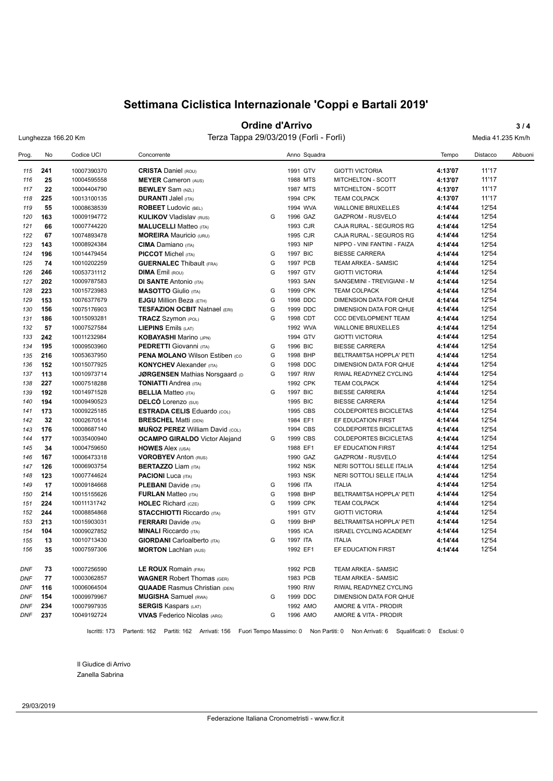## **Ordine d'Arrivo** 3/4

Lunghezza 166.20 Km Terza Tappa 29/03/2019 (Forlì - Forlì) Media 41.235 Km/h

| Prog.      | No  | Codice UCI  | Concorrente                            |   | Anno Squadra |                               | Tempo   | Distacco | Abbuoni |
|------------|-----|-------------|----------------------------------------|---|--------------|-------------------------------|---------|----------|---------|
| 115        | 241 | 10007390370 | <b>CRISTA Daniel (ROU)</b>             |   | 1991 GTV     | <b>GIOTTI VICTORIA</b>        | 4:13'07 | 11'17    |         |
| 116        | 25  | 10004595558 | <b>MEYER Cameron (AUS)</b>             |   | 1988 MTS     | MITCHELTON - SCOTT            | 4:13'07 | 11'17    |         |
| 117        | 22  | 10004404790 | <b>BEWLEY</b> Sam (NZL)                |   | 1987 MTS     | MITCHELTON - SCOTT            | 4:13'07 | 11'17    |         |
| 118        | 225 | 10013100135 | <b>DURANTI Jalel (ITA)</b>             |   | 1994 CPK     | <b>TEAM COLPACK</b>           | 4:13'07 | 11'17    |         |
| 119        | 55  | 10008638539 | <b>ROBEET Ludovic (BEL)</b>            |   | 1994 WVA     | <b>WALLONIE BRUXELLES</b>     | 4:14'44 | 12'54    |         |
| 120        | 163 | 10009194772 | <b>KULIKOV Vladislav (RUS)</b>         | G | 1996 GAZ     | <b>GAZPROM - RUSVELO</b>      | 4:14'44 | 12'54    |         |
| 121        | 66  | 10007744220 | <b>MALUCELLI Matteo (ITA)</b>          |   | 1993 CJR     | CAJA RURAL - SEGUROS RG       | 4:14'44 | 12'54    |         |
| 122        | 67  | 10074893478 | <b>MOREIRA</b> Mauricio (URU)          |   | 1995 CJR     | CAJA RURAL - SEGUROS RG       | 4:14'44 | 12'54    |         |
| 123        | 143 | 10008924384 | <b>CIMA</b> Damiano (ITA)              |   | 1993 NIP     | NIPPO - VINI FANTINI - FAIZA  | 4:14'44 | 12'54    |         |
| 124        | 196 | 10014479454 | <b>PICCOT</b> Michel (ITA)             | G | 1997 BIC     | <b>BIESSE CARRERA</b>         | 4:14'44 | 12'54    |         |
| 125        | 74  | 10010202259 | <b>GUERNALEC Thibault (FRA)</b>        | G | 1997 PCB     | <b>TEAM ARKEA - SAMSIC</b>    | 4:14'44 | 12'54    |         |
| 126        | 246 | 10053731112 | <b>DIMA Emil (ROU)</b>                 | G | 1997 GTV     | <b>GIOTTI VICTORIA</b>        | 4:14'44 | 12'54    |         |
| 127        | 202 | 10009787583 | <b>DI SANTE Antonio (ITA)</b>          |   | 1993 SAN     | SANGEMINI - TREVIGIANI - M    | 4:14'44 | 12'54    |         |
| 128        | 223 | 10015723983 | <b>MASOTTO</b> Giulio (ITA)            | G | 1999 CPK     | <b>TEAM COLPACK</b>           | 4:14'44 | 12'54    |         |
| 129        | 153 | 10076377679 | <b>EJGU Million Beza (ETH)</b>         | G | 1998 DDC     | DIMENSION DATA FOR QHUE       | 4:14'44 | 12'54    |         |
| 130        | 156 | 10075176903 | <b>TESFAZION OCBIT Natnael (ERI)</b>   | G | 1999 DDC     | DIMENSION DATA FOR QHUE       | 4:14'44 | 12'54    |         |
| 131        | 186 | 10015093281 | <b>TRACZ Szymon (POL)</b>              | G | 1998 CDT     | <b>CCC DEVELOPMENT TEAM</b>   | 4:14'44 | 12'54    |         |
| 132        | 57  | 10007527584 | <b>LIEPINS</b> Emils (LAT)             |   | 1992 WVA     | <b>WALLONIE BRUXELLES</b>     | 4:14'44 | 12'54    |         |
| 133        | 242 | 10011232984 | <b>KOBAYASHI Marino (JPN)</b>          |   | 1994 GTV     | <b>GIOTTI VICTORIA</b>        | 4:14'44 | 12'54    |         |
| 134        | 195 | 10009503960 | <b>PEDRETTI</b> Giovanni (ITA)         | G | 1996 BIC     | <b>BIESSE CARRERA</b>         | 4:14'44 | 12'54    |         |
| 135        | 216 | 10053637950 | <b>PENA MOLANO Wilson Estiben (CO)</b> | G | 1998 BHP     | BELTRAMITSA HOPPLA' PETI      | 4:14'44 | 12'54    |         |
| 136        | 152 | 10015077925 | <b>KONYCHEV</b> Alexander (ITA)        | G | 1998 DDC     | DIMENSION DATA FOR QHUE       | 4:14'44 | 12'54    |         |
| 137        | 113 | 10010973714 | <b>JØRGENSEN Mathias Norsgaard (D)</b> | G | 1997 RIW     | RIWAL READYNEZ CYCLING        | 4:14'44 | 12'54    |         |
| 138        | 227 | 10007518288 | <b>TONIATTI Andrea</b> (ITA)           |   | 1992 CPK     | <b>TEAM COLPACK</b>           | 4:14'44 | 12'54    |         |
| 139        | 192 | 10014971528 | <b>BELLIA</b> Matteo (ITA)             | G | 1997 BIC     | <b>BIESSE CARRERA</b>         | 4:14'44 | 12'54    |         |
| 140        | 194 | 10009490523 | <b>DELCÓ</b> Lorenzo (SUI)             |   | 1995 BIC     | <b>BIESSE CARRERA</b>         | 4:14'44 | 12'54    |         |
| 141        | 173 | 10009225185 | <b>ESTRADA CELIS Eduardo (COL)</b>     |   | 1995 CBS     | <b>COLDEPORTES BICICLETAS</b> | 4:14'44 | 12'54    |         |
| 142        | 32  | 10002670514 | <b>BRESCHEL Matti (DEN)</b>            |   | 1984 EF1     | EF EDUCATION FIRST            | 4:14'44 | 12'54    |         |
| 143        | 176 | 10008687140 | <b>MUÑOZ PEREZ William David (COL)</b> |   | 1994 CBS     | <b>COLDEPORTES BICICLETAS</b> | 4:14'44 | 12'54    |         |
| 144        | 177 | 10035400940 | <b>OCAMPO GIRALDO</b> Victor Alejand   | G | 1999 CBS     | <b>COLDEPORTES BICICLETAS</b> | 4:14'44 | 12'54    |         |
| 145        | 34  | 10004759650 | <b>HOWES Alex (USA)</b>                |   | 1988 EF1     | EF EDUCATION FIRST            | 4:14'44 | 12'54    |         |
| 146        | 167 | 10006473318 | <b>VOROBYEV Anton (RUS)</b>            |   | 1990 GAZ     | <b>GAZPROM - RUSVELO</b>      | 4:14'44 | 12'54    |         |
| 147        | 126 | 10006903754 | <b>BERTAZZO Liam (ITA)</b>             |   | 1992 NSK     | NERI SOTTOLI SELLE ITALIA     | 4:14'44 | 12'54    |         |
| 148        | 123 | 10007744624 | <b>PACIONI</b> Luca (ITA)              |   | 1993 NSK     | NERI SOTTOLI SELLE ITALIA     | 4:14'44 | 12'54    |         |
| 149        | 17  | 10009184668 | <b>PLEBANI</b> Davide (ITA)            | G | 1996 ITA     | <b>ITALIA</b>                 | 4:14'44 | 12'54    |         |
| 150        | 214 | 10015155626 | <b>FURLAN Matteo (ITA)</b>             | G | 1998 BHP     | BELTRAMITSA HOPPLA' PETI      | 4:14'44 | 12'54    |         |
| 151        | 224 | 10011131742 | <b>HOLEC</b> Richard (CZE)             | G | 1999 CPK     | <b>TEAM COLPACK</b>           | 4:14'44 | 12'54    |         |
| 152        | 244 | 10008854868 | <b>STACCHIOTTI Riccardo (ITA)</b>      |   | 1991 GTV     | <b>GIOTTI VICTORIA</b>        | 4:14'44 | 12'54    |         |
| 153        | 213 | 10015903031 | <b>FERRARI</b> Davide (ITA)            | G | 1999 BHP     | BELTRAMITSA HOPPLA' PETI      | 4:14'44 | 12'54    |         |
| 154        | 104 | 10009027852 | <b>MINALI</b> Riccardo (ITA)           |   | 1995 ICA     | <b>ISRAEL CYCLING ACADEMY</b> | 4:14'44 | 12'54    |         |
| 155        | 13  | 10010713430 | <b>GIORDANI</b> Carloalberto (ITA)     | G | 1997 ITA     | <b>ITALIA</b>                 | 4:14'44 | 12'54    |         |
| 156        | 35  | 10007597306 | <b>MORTON Lachlan (AUS)</b>            |   | 1992 EF1     | EF EDUCATION FIRST            | 4:14'44 | 12'54    |         |
|            |     |             |                                        |   |              |                               |         |          |         |
| <b>DNF</b> | 73  | 10007256590 | LE ROUX Romain (FRA)                   |   | 1992 PCB     | TEAM ARKEA - SAMSIC           |         |          |         |
| <b>DNF</b> | 77  | 10003062857 | <b>WAGNER Robert Thomas (GER)</b>      |   | 1983 PCB     | TEAM ARKEA - SAMSIC           |         |          |         |
| DNF        | 116 | 10006064504 | <b>QUAADE</b> Rasmus Christian (DEN)   |   | 1990 RIW     | RIWAL READYNEZ CYCLING        |         |          |         |
| DNF        | 154 | 10009979967 | <b>MUGISHA</b> Samuel (RWA)            | G | 1999 DDC     | DIMENSION DATA FOR QHUE       |         |          |         |
| DNF        | 234 | 10007997935 | <b>SERGIS Kaspars (LAT)</b>            |   | 1992 AMO     | AMORE & VITA - PRODIR         |         |          |         |
| DNF        | 237 | 10049192724 | <b>VIVAS</b> Federico Nicolas (ARG)    | G | 1996 AMO     | AMORE & VITA - PRODIR         |         |          |         |

Il Giudice di Arrivo Zanella Sabrina